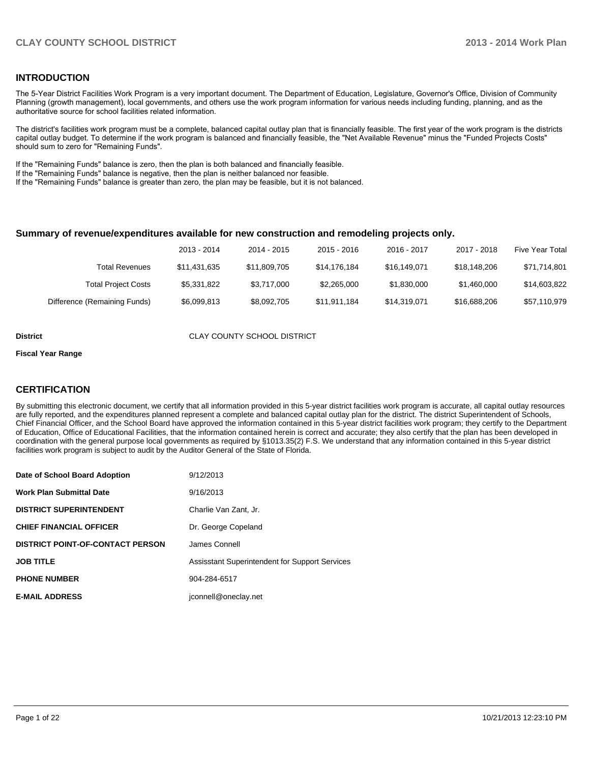#### **INTRODUCTION**

The 5-Year District Facilities Work Program is a very important document. The Department of Education, Legislature, Governor's Office, Division of Community Planning (growth management), local governments, and others use the work program information for various needs including funding, planning, and as the authoritative source for school facilities related information.

The district's facilities work program must be a complete, balanced capital outlay plan that is financially feasible. The first year of the work program is the districts capital outlay budget. To determine if the work program is balanced and financially feasible, the "Net Available Revenue" minus the "Funded Projects Costs" should sum to zero for "Remaining Funds".

If the "Remaining Funds" balance is zero, then the plan is both balanced and financially feasible.

If the "Remaining Funds" balance is negative, then the plan is neither balanced nor feasible.

If the "Remaining Funds" balance is greater than zero, the plan may be feasible, but it is not balanced.

#### **Summary of revenue/expenditures available for new construction and remodeling projects only.**

|                              | 2013 - 2014  | 2014 - 2015  | 2015 - 2016  | 2016 - 2017  | 2017 - 2018  | Five Year Total |
|------------------------------|--------------|--------------|--------------|--------------|--------------|-----------------|
| Total Revenues               | \$11.431.635 | \$11.809.705 | \$14.176.184 | \$16,149,071 | \$18,148,206 | \$71,714,801    |
| <b>Total Project Costs</b>   | \$5.331.822  | \$3.717.000  | \$2,265,000  | \$1,830,000  | \$1,460,000  | \$14,603,822    |
| Difference (Remaining Funds) | \$6,099,813  | \$8,092,705  | \$11,911,184 | \$14,319,071 | \$16,688,206 | \$57,110,979    |

**District CLAY COUNTY SCHOOL DISTRICT** 

#### **Fiscal Year Range**

#### **CERTIFICATION**

By submitting this electronic document, we certify that all information provided in this 5-year district facilities work program is accurate, all capital outlay resources are fully reported, and the expenditures planned represent a complete and balanced capital outlay plan for the district. The district Superintendent of Schools, Chief Financial Officer, and the School Board have approved the information contained in this 5-year district facilities work program; they certify to the Department of Education, Office of Educational Facilities, that the information contained herein is correct and accurate; they also certify that the plan has been developed in coordination with the general purpose local governments as required by §1013.35(2) F.S. We understand that any information contained in this 5-year district facilities work program is subject to audit by the Auditor General of the State of Florida.

| Date of School Board Adoption           | 9/12/2013                                      |
|-----------------------------------------|------------------------------------------------|
| <b>Work Plan Submittal Date</b>         | 9/16/2013                                      |
| <b>DISTRICT SUPERINTENDENT</b>          | Charlie Van Zant, Jr.                          |
| <b>CHIEF FINANCIAL OFFICER</b>          | Dr. George Copeland                            |
| <b>DISTRICT POINT-OF-CONTACT PERSON</b> | James Connell                                  |
| <b>JOB TITLE</b>                        | Assisstant Superintendent for Support Services |
| <b>PHONE NUMBER</b>                     | 904-284-6517                                   |
| <b>E-MAIL ADDRESS</b>                   | jconnell@oneclay.net                           |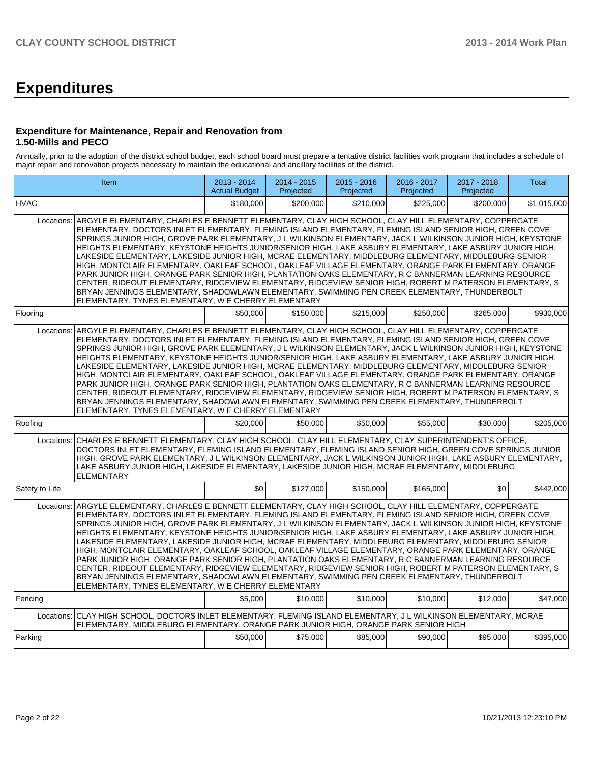# **Expenditures**

#### **Expenditure for Maintenance, Repair and Renovation from 1.50-Mills and PECO**

Annually, prior to the adoption of the district school budget, each school board must prepare a tentative district facilities work program that includes a schedule of major repair and renovation projects necessary to maintain the educational and ancillary facilities of the district.

|                | <b>Item</b>                                                                                                                                                                                                                                                                                                                                                                                                                                                                                                                                                                                                                                                                                                                                                                                                                                                                                                                                                                                                                                            | 2013 - 2014<br><b>Actual Budget</b> | 2014 - 2015<br>Projected | 2015 - 2016<br>Projected | 2016 - 2017<br>Projected | 2017 - 2018<br>Projected | Total       |
|----------------|--------------------------------------------------------------------------------------------------------------------------------------------------------------------------------------------------------------------------------------------------------------------------------------------------------------------------------------------------------------------------------------------------------------------------------------------------------------------------------------------------------------------------------------------------------------------------------------------------------------------------------------------------------------------------------------------------------------------------------------------------------------------------------------------------------------------------------------------------------------------------------------------------------------------------------------------------------------------------------------------------------------------------------------------------------|-------------------------------------|--------------------------|--------------------------|--------------------------|--------------------------|-------------|
| <b>IHVAC</b>   |                                                                                                                                                                                                                                                                                                                                                                                                                                                                                                                                                                                                                                                                                                                                                                                                                                                                                                                                                                                                                                                        | \$180,000                           | \$200,000                | \$210.000                | \$225,000                | \$200,000                | \$1,015,000 |
| Locations:     | ARGYLE ELEMENTARY, CHARLES E BENNETT ELEMENTARY, CLAY HIGH SCHOOL, CLAY HILL ELEMENTARY, COPPERGATE<br>ELEMENTARY, DOCTORS INLET ELEMENTARY, FLEMING ISLAND ELEMENTARY, FLEMING ISLAND SENIOR HIGH, GREEN COVE<br>SPRINGS JUNIOR HIGH, GROVE PARK ELEMENTARY, J L WILKINSON ELEMENTARY, JACK L WILKINSON JUNIOR HIGH, KEYSTONE<br>HEIGHTS ELEMENTARY, KEYSTONE HEIGHTS JUNIOR/SENIOR HIGH, LAKE ASBURY ELEMENTARY, LAKE ASBURY JUNIOR HIGH,<br>LAKESIDE ELEMENTARY, LAKESIDE JUNIOR HIGH, MCRAE ELEMENTARY, MIDDLEBURG ELEMENTARY, MIDDLEBURG SENIOR<br>HIGH, MONTCLAIR ELEMENTARY, OAKLEAF SCHOOL, OAKLEAF VILLAGE ELEMENTARY, ORANGE PARK ELEMENTARY, ORANGE<br>PARK JUNIOR HIGH, ORANGE PARK SENIOR HIGH, PLANTATION OAKS ELEMENTARY, R C BANNERMAN LEARNING RESOURCE<br>CENTER, RIDEOUT ELEMENTARY, RIDGEVIEW ELEMENTARY, RIDGEVIEW SENIOR HIGH, ROBERT M PATERSON ELEMENTARY, S<br>BRYAN JENNINGS ELEMENTARY, SHADOWLAWN ELEMENTARY, SWIMMING PEN CREEK ELEMENTARY, THUNDERBOLT<br>ELEMENTARY, TYNES ELEMENTARY, W E CHERRY ELEMENTARY            |                                     |                          |                          |                          |                          |             |
| Flooring       |                                                                                                                                                                                                                                                                                                                                                                                                                                                                                                                                                                                                                                                                                                                                                                                                                                                                                                                                                                                                                                                        | \$50,000                            | \$150.000                | \$215,000                | \$250,000                | \$265,000                | \$930,000   |
|                | Locations: ARGYLE ELEMENTARY, CHARLES E BENNETT ELEMENTARY, CLAY HIGH SCHOOL, CLAY HILL ELEMENTARY, COPPERGATE<br>ELEMENTARY, DOCTORS INLET ELEMENTARY, FLEMING ISLAND ELEMENTARY, FLEMING ISLAND SENIOR HIGH, GREEN COVE<br>SPRINGS JUNIOR HIGH, GROVE PARK ELEMENTARY, J L WILKINSON ELEMENTARY, JACK L WILKINSON JUNIOR HIGH, KEYSTONE<br>HEIGHTS ELEMENTARY, KEYSTONE HEIGHTS JUNIOR/SENIOR HIGH, LAKE ASBURY ELEMENTARY, LAKE ASBURY JUNIOR HIGH,<br>LAKESIDE ELEMENTARY, LAKESIDE JUNIOR HIGH, MCRAE ELEMENTARY, MIDDLEBURG ELEMENTARY, MIDDLEBURG SENIOR<br>HIGH. MONTCLAIR ELEMENTARY. OAKLEAF SCHOOL. OAKLEAF VILLAGE ELEMENTARY. ORANGE PARK ELEMENTARY. ORANGE<br>PARK JUNIOR HIGH, ORANGE PARK SENIOR HIGH, PLANTATION OAKS ELEMENTARY, R C BANNERMAN LEARNING RESOURCE<br>CENTER, RIDEOUT ELEMENTARY, RIDGEVIEW ELEMENTARY, RIDGEVIEW SENIOR HIGH, ROBERT M PATERSON ELEMENTARY, S<br>BRYAN JENNINGS ELEMENTARY, SHADOWLAWN ELEMENTARY, SWIMMING PEN CREEK ELEMENTARY, THUNDERBOLT<br>ELEMENTARY, TYNES ELEMENTARY, W E CHERRY ELEMENTARY |                                     |                          |                          |                          |                          |             |
| Roofing        |                                                                                                                                                                                                                                                                                                                                                                                                                                                                                                                                                                                                                                                                                                                                                                                                                                                                                                                                                                                                                                                        | \$20,000                            | \$50,000                 | \$50,000                 | \$55,000                 | \$30,000                 | \$205,000   |
| Locations:     | CHARLES E BENNETT ELEMENTARY, CLAY HIGH SCHOOL, CLAY HILL ELEMENTARY, CLAY SUPERINTENDENT'S OFFICE,<br>DOCTORS INLET ELEMENTARY, FLEMING ISLAND ELEMENTARY, FLEMING ISLAND SENIOR HIGH, GREEN COVE SPRINGS JUNIOR<br>HIGH, GROVE PARK ELEMENTARY, J L WILKINSON ELEMENTARY, JACK L WILKINSON JUNIOR HIGH, LAKE ASBURY ELEMENTARY,<br>LAKE ASBURY JUNIOR HIGH, LAKESIDE ELEMENTARY, LAKESIDE JUNIOR HIGH, MCRAE ELEMENTARY, MIDDLEBURG<br><b>ELEMENTARY</b>                                                                                                                                                                                                                                                                                                                                                                                                                                                                                                                                                                                             |                                     |                          |                          |                          |                          |             |
| Safety to Life |                                                                                                                                                                                                                                                                                                                                                                                                                                                                                                                                                                                                                                                                                                                                                                                                                                                                                                                                                                                                                                                        | SO <sub>2</sub>                     | \$127,000                | \$150,000                | \$165,000                | \$0                      | \$442,000   |
| Locations:     | ARGYLE ELEMENTARY, CHARLES E BENNETT ELEMENTARY, CLAY HIGH SCHOOL, CLAY HILL ELEMENTARY, COPPERGATE<br>ELEMENTARY, DOCTORS INLET ELEMENTARY, FLEMING ISLAND ELEMENTARY, FLEMING ISLAND SENIOR HIGH, GREEN COVE<br>SPRINGS JUNIOR HIGH, GROVE PARK ELEMENTARY, J L WILKINSON ELEMENTARY, JACK L WILKINSON JUNIOR HIGH, KEYSTONE<br>HEIGHTS ELEMENTARY, KEYSTONE HEIGHTS JUNIOR/SENIOR HIGH, LAKE ASBURY ELEMENTARY, LAKE ASBURY JUNIOR HIGH,<br>LAKESIDE ELEMENTARY. LAKESIDE JUNIOR HIGH. MCRAE ELEMENTARY. MIDDLEBURG ELEMENTARY. MIDDLEBURG SENIOR<br>HIGH, MONTCLAIR ELEMENTARY, OAKLEAF SCHOOL, OAKLEAF VILLAGE ELEMENTARY, ORANGE PARK ELEMENTARY, ORANGE<br>PARK JUNIOR HIGH, ORANGE PARK SENIOR HIGH, PLANTATION OAKS ELEMENTARY, R C BANNERMAN LEARNING RESOURCE<br>CENTER, RIDEOUT ELEMENTARY, RIDGEVIEW ELEMENTARY, RIDGEVIEW SENIOR HIGH, ROBERT M PATERSON ELEMENTARY, S<br>BRYAN JENNINGS ELEMENTARY, SHADOWLAWN ELEMENTARY, SWIMMING PEN CREEK ELEMENTARY, THUNDERBOLT<br>ELEMENTARY, TYNES ELEMENTARY, W E CHERRY ELEMENTARY            |                                     |                          |                          |                          |                          |             |
| Fencing        |                                                                                                                                                                                                                                                                                                                                                                                                                                                                                                                                                                                                                                                                                                                                                                                                                                                                                                                                                                                                                                                        | \$5.000                             | \$10,000                 | \$10,000                 | \$10,000                 | \$12,000                 | \$47,000    |
| Locations:     | CLAY HIGH SCHOOL, DOCTORS INLET ELEMENTARY, FLEMING ISLAND ELEMENTARY, J L WILKINSON ELEMENTARY, MCRAE<br>ELEMENTARY, MIDDLEBURG ELEMENTARY, ORANGE PARK JUNIOR HIGH, ORANGE PARK SENIOR HIGH                                                                                                                                                                                                                                                                                                                                                                                                                                                                                                                                                                                                                                                                                                                                                                                                                                                          |                                     |                          |                          |                          |                          |             |
| Parking        |                                                                                                                                                                                                                                                                                                                                                                                                                                                                                                                                                                                                                                                                                                                                                                                                                                                                                                                                                                                                                                                        | \$50,000                            | \$75,000                 | \$85,000                 | \$90,000                 | \$95,000                 | \$395,000   |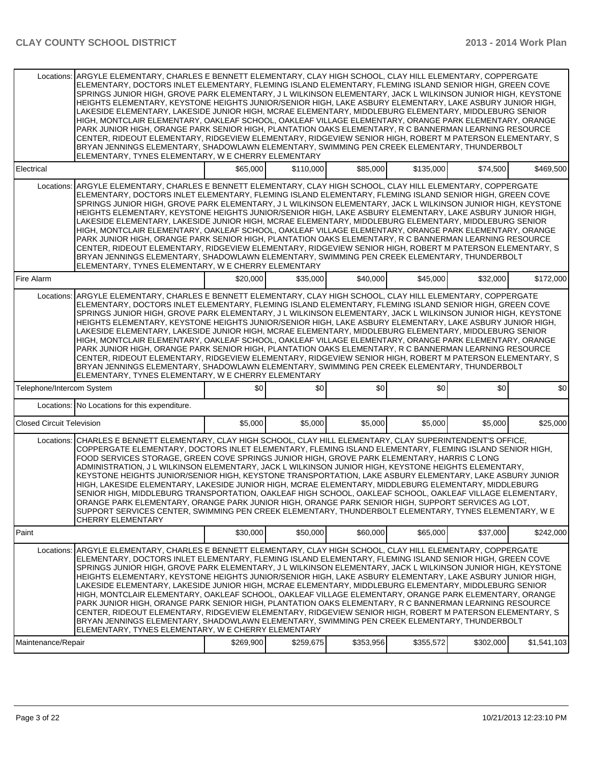|                                  | Locations: ARGYLE ELEMENTARY, CHARLES E BENNETT ELEMENTARY, CLAY HIGH SCHOOL, CLAY HILL ELEMENTARY, COPPERGATE<br>ELEMENTARY, DOCTORS INLET ELEMENTARY, FLEMING ISLAND ELEMENTARY, FLEMING ISLAND SENIOR HIGH, GREEN COVE<br>SPRINGS JUNIOR HIGH, GROVE PARK ELEMENTARY, J L WILKINSON ELEMENTARY, JACK L WILKINSON JUNIOR HIGH, KEYSTONE<br>HEIGHTS ELEMENTARY, KEYSTONE HEIGHTS JUNIOR/SENIOR HIGH, LAKE ASBURY ELEMENTARY, LAKE ASBURY JUNIOR HIGH,<br>LAKESIDE ELEMENTARY, LAKESIDE JUNIOR HIGH, MCRAE ELEMENTARY, MIDDLEBURG ELEMENTARY, MIDDLEBURG SENIOR<br>HIGH, MONTCLAIR ELEMENTARY, OAKLEAF SCHOOL, OAKLEAF VILLAGE ELEMENTARY, ORANGE PARK ELEMENTARY, ORANGE<br>PARK JUNIOR HIGH, ORANGE PARK SENIOR HIGH, PLANTATION OAKS ELEMENTARY, R C BANNERMAN LEARNING RESOURCE<br>CENTER, RIDEOUT ELEMENTARY, RIDGEVIEW ELEMENTARY, RIDGEVIEW SENIOR HIGH, ROBERT M PATERSON ELEMENTARY, S<br>BRYAN JENNINGS ELEMENTARY, SHADOWLAWN ELEMENTARY, SWIMMING PEN CREEK ELEMENTARY, THUNDERBOLT<br>ELEMENTARY, TYNES ELEMENTARY, W E CHERRY ELEMENTARY |           |           |           |           |           |             |
|----------------------------------|--------------------------------------------------------------------------------------------------------------------------------------------------------------------------------------------------------------------------------------------------------------------------------------------------------------------------------------------------------------------------------------------------------------------------------------------------------------------------------------------------------------------------------------------------------------------------------------------------------------------------------------------------------------------------------------------------------------------------------------------------------------------------------------------------------------------------------------------------------------------------------------------------------------------------------------------------------------------------------------------------------------------------------------------------------|-----------|-----------|-----------|-----------|-----------|-------------|
| Electrical                       |                                                                                                                                                                                                                                                                                                                                                                                                                                                                                                                                                                                                                                                                                                                                                                                                                                                                                                                                                                                                                                                        | \$65,000  | \$110,000 | \$85,000  | \$135,000 | \$74,500  | \$469,500   |
| Locations:                       | ARGYLE ELEMENTARY, CHARLES E BENNETT ELEMENTARY, CLAY HIGH SCHOOL, CLAY HILL ELEMENTARY, COPPERGATE<br>ELEMENTARY, DOCTORS INLET ELEMENTARY, FLEMING ISLAND ELEMENTARY, FLEMING ISLAND SENIOR HIGH, GREEN COVE<br>SPRINGS JUNIOR HIGH, GROVE PARK ELEMENTARY, J L WILKINSON ELEMENTARY, JACK L WILKINSON JUNIOR HIGH, KEYSTONE<br>HEIGHTS ELEMENTARY, KEYSTONE HEIGHTS JUNIOR/SENIOR HIGH, LAKE ASBURY ELEMENTARY, LAKE ASBURY JUNIOR HIGH,<br>LAKESIDE ELEMENTARY, LAKESIDE JUNIOR HIGH, MCRAE ELEMENTARY, MIDDLEBURG ELEMENTARY, MIDDLEBURG SENIOR<br>HIGH, MONTCLAIR ELEMENTARY, OAKLEAF SCHOOL, OAKLEAF VILLAGE ELEMENTARY, ORANGE PARK ELEMENTARY, ORANGE<br>PARK JUNIOR HIGH, ORANGE PARK SENIOR HIGH, PLANTATION OAKS ELEMENTARY, R C BANNERMAN LEARNING RESOURCE<br>CENTER, RIDEOUT ELEMENTARY, RIDGEVIEW ELEMENTARY, RIDGEVIEW SENIOR HIGH, ROBERT M PATERSON ELEMENTARY, S<br>BRYAN JENNINGS ELEMENTARY, SHADOWLAWN ELEMENTARY, SWIMMING PEN CREEK ELEMENTARY, THUNDERBOLT<br>ELEMENTARY, TYNES ELEMENTARY, W E CHERRY ELEMENTARY            |           |           |           |           |           |             |
| Fire Alarm                       |                                                                                                                                                                                                                                                                                                                                                                                                                                                                                                                                                                                                                                                                                                                                                                                                                                                                                                                                                                                                                                                        | \$20,000  | \$35,000  | \$40,000  | \$45,000  | \$32,000  | \$172,000   |
| Locations:                       | ARGYLE ELEMENTARY, CHARLES E BENNETT ELEMENTARY, CLAY HIGH SCHOOL, CLAY HILL ELEMENTARY, COPPERGATE<br>ELEMENTARY, DOCTORS INLET ELEMENTARY, FLEMING ISLAND ELEMENTARY, FLEMING ISLAND SENIOR HIGH, GREEN COVE<br>SPRINGS JUNIOR HIGH. GROVE PARK ELEMENTARY. J L WILKINSON ELEMENTARY. JACK L WILKINSON JUNIOR HIGH. KEYSTONE<br>HEIGHTS ELEMENTARY, KEYSTONE HEIGHTS JUNIOR/SENIOR HIGH, LAKE ASBURY ELEMENTARY, LAKE ASBURY JUNIOR HIGH,<br>LAKESIDE ELEMENTARY, LAKESIDE JUNIOR HIGH, MCRAE ELEMENTARY, MIDDLEBURG ELEMENTARY, MIDDLEBURG SENIOR<br>HIGH, MONTCLAIR ELEMENTARY, OAKLEAF SCHOOL, OAKLEAF VILLAGE ELEMENTARY, ORANGE PARK ELEMENTARY, ORANGE<br>PARK JUNIOR HIGH, ORANGE PARK SENIOR HIGH, PLANTATION OAKS ELEMENTARY, R C BANNERMAN LEARNING RESOURCE<br>CENTER, RIDEOUT ELEMENTARY, RIDGEVIEW ELEMENTARY, RIDGEVIEW SENIOR HIGH, ROBERT M PATERSON ELEMENTARY, S<br>BRYAN JENNINGS ELEMENTARY, SHADOWLAWN ELEMENTARY, SWIMMING PEN CREEK ELEMENTARY, THUNDERBOLT<br>ELEMENTARY, TYNES ELEMENTARY, W E CHERRY ELEMENTARY            |           |           |           |           |           |             |
| Telephone/Intercom System        |                                                                                                                                                                                                                                                                                                                                                                                                                                                                                                                                                                                                                                                                                                                                                                                                                                                                                                                                                                                                                                                        | \$0       | \$0       | \$0       | \$0       | \$0       | \$0         |
|                                  | Locations: No Locations for this expenditure.                                                                                                                                                                                                                                                                                                                                                                                                                                                                                                                                                                                                                                                                                                                                                                                                                                                                                                                                                                                                          |           |           |           |           |           |             |
| <b>Closed Circuit Television</b> |                                                                                                                                                                                                                                                                                                                                                                                                                                                                                                                                                                                                                                                                                                                                                                                                                                                                                                                                                                                                                                                        | \$5,000   | \$5,000   | \$5,000   | \$5,000   | \$5,000   | \$25,000    |
| Locations:                       | CHARLES E BENNETT ELEMENTARY, CLAY HIGH SCHOOL, CLAY HILL ELEMENTARY, CLAY SUPERINTENDENT'S OFFICE,<br>COPPERGATE ELEMENTARY, DOCTORS INLET ELEMENTARY, FLEMING ISLAND ELEMENTARY, FLEMING ISLAND SENIOR HIGH,<br>FOOD SERVICES STORAGE, GREEN COVE SPRINGS JUNIOR HIGH, GROVE PARK ELEMENTARY, HARRIS C LONG<br>ADMINISTRATION, J L WILKINSON ELEMENTARY, JACK L WILKINSON JUNIOR HIGH, KEYSTONE HEIGHTS ELEMENTARY,<br>KEYSTONE HEIGHTS JUNIOR/SENIOR HIGH, KEYSTONE TRANSPORTATION, LAKE ASBURY ELEMENTARY, LAKE ASBURY JUNIOR<br>HIGH, LAKESIDE ELEMENTARY, LAKESIDE JUNIOR HIGH, MCRAE ELEMENTARY, MIDDLEBURG ELEMENTARY, MIDDLEBURG<br>SENIOR HIGH, MIDDLEBURG TRANSPORTATION, OAKLEAF HIGH SCHOOL, OAKLEAF SCHOOL, OAKLEAF VILLAGE ELEMENTARY,<br>ORANGE PARK ELEMENTARY, ORANGE PARK JUNIOR HIGH, ORANGE PARK SENIOR HIGH, SUPPORT SERVICES AG LOT,<br>SUPPORT SERVICES CENTER, SWIMMING PEN CREEK ELEMENTARY, THUNDERBOLT ELEMENTARY, TYNES ELEMENTARY, W E<br>CHERRY ELEMENTARY                                                              |           |           |           |           |           |             |
| Paint                            |                                                                                                                                                                                                                                                                                                                                                                                                                                                                                                                                                                                                                                                                                                                                                                                                                                                                                                                                                                                                                                                        | \$30,000  | \$50,000  | \$60,000  | \$65,000  | \$37,000  | \$242,000   |
| Locations:                       | ARGYLE ELEMENTARY, CHARLES E BENNETT ELEMENTARY, CLAY HIGH SCHOOL, CLAY HILL ELEMENTARY, COPPERGATE<br>ELEMENTARY, DOCTORS INLET ELEMENTARY, FLEMING ISLAND ELEMENTARY, FLEMING ISLAND SENIOR HIGH, GREEN COVE<br>SPRINGS JUNIOR HIGH, GROVE PARK ELEMENTARY, J L WILKINSON ELEMENTARY, JACK L WILKINSON JUNIOR HIGH, KEYSTONE<br>HEIGHTS ELEMENTARY, KEYSTONE HEIGHTS JUNIOR/SENIOR HIGH, LAKE ASBURY ELEMENTARY, LAKE ASBURY JUNIOR HIGH,<br>LAKESIDE ELEMENTARY, LAKESIDE JUNIOR HIGH, MCRAE ELEMENTARY, MIDDLEBURG ELEMENTARY, MIDDLEBURG SENIOR<br>HIGH, MONTCLAIR ELEMENTARY, OAKLEAF SCHOOL, OAKLEAF VILLAGE ELEMENTARY, ORANGE PARK ELEMENTARY, ORANGE<br>PARK JUNIOR HIGH, ORANGE PARK SENIOR HIGH, PLANTATION OAKS ELEMENTARY, R C BANNERMAN LEARNING RESOURCE<br>CENTER, RIDEOUT ELEMENTARY, RIDGEVIEW ELEMENTARY, RIDGEVIEW SENIOR HIGH, ROBERT M PATERSON ELEMENTARY, S<br>BRYAN JENNINGS ELEMENTARY, SHADOWLAWN ELEMENTARY, SWIMMING PEN CREEK ELEMENTARY, THUNDERBOLT<br>ELEMENTARY, TYNES ELEMENTARY, W E CHERRY ELEMENTARY            |           |           |           |           |           |             |
| Maintenance/Repair               |                                                                                                                                                                                                                                                                                                                                                                                                                                                                                                                                                                                                                                                                                                                                                                                                                                                                                                                                                                                                                                                        | \$269,900 | \$259,675 | \$353,956 | \$355,572 | \$302,000 | \$1,541,103 |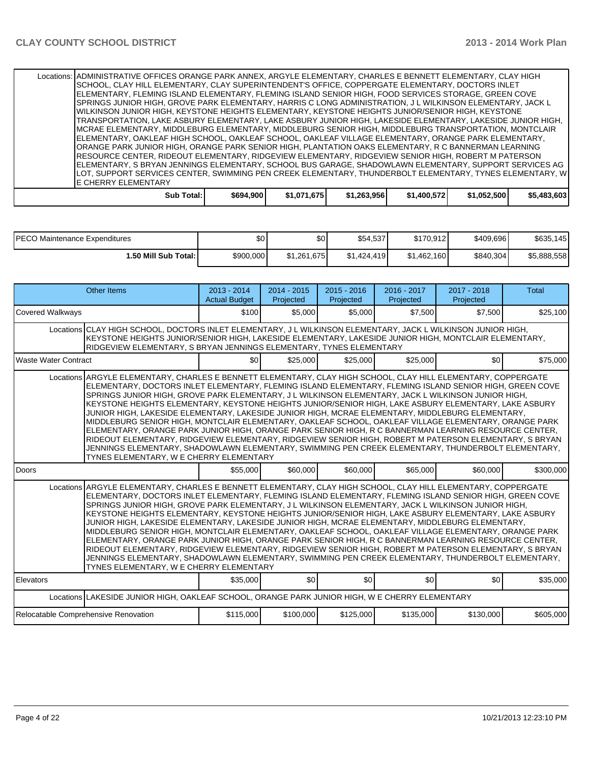| Locations:   ADMINISTRATIVE OFFICES ORANGE PARK ANNEX, ARGYLE ELEMENTARY, CHARLES E BENNETT ELEMENTARY, CLAY HIGH |           |             |             |             |             |             |
|-------------------------------------------------------------------------------------------------------------------|-----------|-------------|-------------|-------------|-------------|-------------|
| SCHOOL, CLAY HILL ELEMENTARY, CLAY SUPERINTENDENT'S OFFICE, COPPERGATE ELEMENTARY, DOCTORS INLET                  |           |             |             |             |             |             |
| IELEMENTARY. FLEMING ISLAND ELEMENTARY. FLEMING ISLAND SENIOR HIGH. FOOD SERVICES STORAGE. GREEN COVE             |           |             |             |             |             |             |
| SPRINGS JUNIOR HIGH, GROVE PARK ELEMENTARY, HARRIS C LONG ADMINISTRATION, J L WILKINSON ELEMENTARY, JACK L        |           |             |             |             |             |             |
| IWILKINSON JUNIOR HIGH. KEYSTONE HEIGHTS ELEMENTARY. KEYSTONE HEIGHTS JUNIOR/SENIOR HIGH. KEYSTONE                |           |             |             |             |             |             |
| TRANSPORTATION, LAKE ASBURY ELEMENTARY, LAKE ASBURY JUNIOR HIGH, LAKESIDE ELEMENTARY, LAKESIDE JUNIOR HIGH,       |           |             |             |             |             |             |
| IMCRAE ELEMENTARY, MIDDLEBURG ELEMENTARY, MIDDLEBURG SENIOR HIGH, MIDDLEBURG TRANSPORTATION, MONTCLAIR            |           |             |             |             |             |             |
| ELEMENTARY, OAKLEAF HIGH SCHOOL, OAKLEAF SCHOOL, OAKLEAF VILLAGE ELEMENTARY, ORANGE PARK ELEMENTARY,              |           |             |             |             |             |             |
| ORANGE PARK JUNIOR HIGH, ORANGE PARK SENIOR HIGH, PLANTATION OAKS ELEMENTARY. R C BANNERMAN LEARNING              |           |             |             |             |             |             |
| IRESOURCE CENTER, RIDEOUT ELEMENTARY, RIDGEVIEW ELEMENTARY, RIDGEVIEW SENIOR HIGH, ROBERT M PATERSON              |           |             |             |             |             |             |
| ELEMENTARY, S BRYAN JENNINGS ELEMENTARY, SCHOOL BUS GARAGE, SHADOWLAWN ELEMENTARY, SUPPORT SERVICES AG            |           |             |             |             |             |             |
| LOT. SUPPORT SERVICES CENTER. SWIMMING PEN CREEK ELEMENTARY. THUNDERBOLT ELEMENTARY. TYNES ELEMENTARY. WI         |           |             |             |             |             |             |
| <b>IE CHERRY ELEMENTARY</b>                                                                                       |           |             |             |             |             |             |
| Sub Total:                                                                                                        | \$694,900 | \$1,071,675 | \$1,263,956 | \$1,400,572 | \$1,052,500 | \$5,483,603 |

| <b>IPECO Maintenance Expenditures</b> | \$0 <sub>1</sub> | \$0         | \$54,537    | \$170.912   | \$409.696 | \$635,145   |
|---------------------------------------|------------------|-------------|-------------|-------------|-----------|-------------|
| 1.50 Mill Sub Total: I                | \$900,000        | \$1.261.675 | \$1.424.419 | \$1,462,160 | \$840,304 | \$5,888,558 |

| <b>Other Items</b>                                                                                                                                                                                                                                                                                                                                                                                                                                                                                                                                                                                                                                                                                                                                                                                                                                                                                                                                                                                                        | $2013 - 2014$<br><b>Actual Budget</b> | $2014 - 2015$<br>Projected | $2015 - 2016$<br>Projected | $2016 - 2017$<br>Projected | 2017 - 2018<br>Projected | <b>Total</b> |  |  |
|---------------------------------------------------------------------------------------------------------------------------------------------------------------------------------------------------------------------------------------------------------------------------------------------------------------------------------------------------------------------------------------------------------------------------------------------------------------------------------------------------------------------------------------------------------------------------------------------------------------------------------------------------------------------------------------------------------------------------------------------------------------------------------------------------------------------------------------------------------------------------------------------------------------------------------------------------------------------------------------------------------------------------|---------------------------------------|----------------------------|----------------------------|----------------------------|--------------------------|--------------|--|--|
| <b>Covered Walkways</b>                                                                                                                                                                                                                                                                                                                                                                                                                                                                                                                                                                                                                                                                                                                                                                                                                                                                                                                                                                                                   | \$100                                 | \$5,000                    | \$5,000                    | \$7,500                    | \$7,500                  | \$25,100     |  |  |
| Locations CLAY HIGH SCHOOL, DOCTORS INLET ELEMENTARY, J L WILKINSON ELEMENTARY, JACK L WILKINSON JUNIOR HIGH,<br>KEYSTONE HEIGHTS JUNIOR/SENIOR HIGH, LAKESIDE ELEMENTARY, LAKESIDE JUNIOR HIGH, MONTCLAIR ELEMENTARY,<br>RIDGEVIEW ELEMENTARY, S BRYAN JENNINGS ELEMENTARY, TYNES ELEMENTARY                                                                                                                                                                                                                                                                                                                                                                                                                                                                                                                                                                                                                                                                                                                             |                                       |                            |                            |                            |                          |              |  |  |
| <b>Waste Water Contract</b>                                                                                                                                                                                                                                                                                                                                                                                                                                                                                                                                                                                                                                                                                                                                                                                                                                                                                                                                                                                               | \$0                                   | \$25,000                   | \$25,000                   | \$25,000                   | \$0                      | \$75,000     |  |  |
| Locations ARGYLE ELEMENTARY, CHARLES E BENNETT ELEMENTARY, CLAY HIGH SCHOOL, CLAY HILL ELEMENTARY, COPPERGATE<br>ELEMENTARY, DOCTORS INLET ELEMENTARY, FLEMING ISLAND ELEMENTARY, FLEMING ISLAND SENIOR HIGH, GREEN COVE<br>SPRINGS JUNIOR HIGH, GROVE PARK ELEMENTARY, J L WILKINSON ELEMENTARY, JACK L WILKINSON JUNIOR HIGH,<br>KEYSTONE HEIGHTS ELEMENTARY, KEYSTONE HEIGHTS JUNIOR/SENIOR HIGH, LAKE ASBURY ELEMENTARY, LAKE ASBURY<br>JUNIOR HIGH, LAKESIDE ELEMENTARY, LAKESIDE JUNIOR HIGH, MCRAE ELEMENTARY, MIDDLEBURG ELEMENTARY,<br>MIDDLEBURG SENIOR HIGH, MONTCLAIR ELEMENTARY, OAKLEAF SCHOOL, OAKLEAF VILLAGE ELEMENTARY, ORANGE PARK<br>ELEMENTARY, ORANGE PARK JUNIOR HIGH, ORANGE PARK SENIOR HIGH, R C BANNERMAN LEARNING RESOURCE CENTER,<br>RIDEOUT ELEMENTARY, RIDGEVIEW ELEMENTARY, RIDGEVIEW SENIOR HIGH, ROBERT M PATERSON ELEMENTARY, S BRYAN<br>JENNINGS ELEMENTARY, SHADOWLAWN ELEMENTARY, SWIMMING PEN CREEK ELEMENTARY, THUNDERBOLT ELEMENTARY,<br>TYNES ELEMENTARY, W E CHERRY ELEMENTARY |                                       |                            |                            |                            |                          |              |  |  |
| Doors                                                                                                                                                                                                                                                                                                                                                                                                                                                                                                                                                                                                                                                                                                                                                                                                                                                                                                                                                                                                                     | \$55,000                              | \$60,000                   | \$60,000                   | \$65,000                   | \$60,000                 | \$300,000    |  |  |
| Locations ARGYLE ELEMENTARY, CHARLES E BENNETT ELEMENTARY, CLAY HIGH SCHOOL, CLAY HILL ELEMENTARY, COPPERGATE<br>ELEMENTARY, DOCTORS INLET ELEMENTARY, FLEMING ISLAND ELEMENTARY, FLEMING ISLAND SENIOR HIGH, GREEN COVE<br>SPRINGS JUNIOR HIGH, GROVE PARK ELEMENTARY, J L WILKINSON ELEMENTARY, JACK L WILKINSON JUNIOR HIGH,<br>KEYSTONE HEIGHTS ELEMENTARY, KEYSTONE HEIGHTS JUNIOR/SENIOR HIGH, LAKE ASBURY ELEMENTARY, LAKE ASBURY<br>JUNIOR HIGH, LAKESIDE ELEMENTARY, LAKESIDE JUNIOR HIGH, MCRAE ELEMENTARY, MIDDLEBURG ELEMENTARY,<br>MIDDLEBURG SENIOR HIGH, MONTCLAIR ELEMENTARY, OAKLEAF SCHOOL, OAKLEAF VILLAGE ELEMENTARY, ORANGE PARK<br>ELEMENTARY, ORANGE PARK JUNIOR HIGH, ORANGE PARK SENIOR HIGH, R C BANNERMAN LEARNING RESOURCE CENTER,<br>RIDEOUT ELEMENTARY, RIDGEVIEW ELEMENTARY, RIDGEVIEW SENIOR HIGH, ROBERT M PATERSON ELEMENTARY, S BRYAN<br>JENNINGS ELEMENTARY, SHADOWLAWN ELEMENTARY, SWIMMING PEN CREEK ELEMENTARY, THUNDERBOLT ELEMENTARY,<br>TYNES ELEMENTARY, W E CHERRY ELEMENTARY |                                       |                            |                            |                            |                          |              |  |  |
| Elevators                                                                                                                                                                                                                                                                                                                                                                                                                                                                                                                                                                                                                                                                                                                                                                                                                                                                                                                                                                                                                 | \$35,000                              | \$0                        | \$0                        | \$0                        | \$0                      | \$35,000     |  |  |
| Locations LAKESIDE JUNIOR HIGH, OAKLEAF SCHOOL, ORANGE PARK JUNIOR HIGH, W E CHERRY ELEMENTARY                                                                                                                                                                                                                                                                                                                                                                                                                                                                                                                                                                                                                                                                                                                                                                                                                                                                                                                            |                                       |                            |                            |                            |                          |              |  |  |
| Relocatable Comprehensive Renovation                                                                                                                                                                                                                                                                                                                                                                                                                                                                                                                                                                                                                                                                                                                                                                                                                                                                                                                                                                                      | \$115,000                             | \$100,000                  | \$125,000                  | \$135,000                  | \$130,000                | \$605,000    |  |  |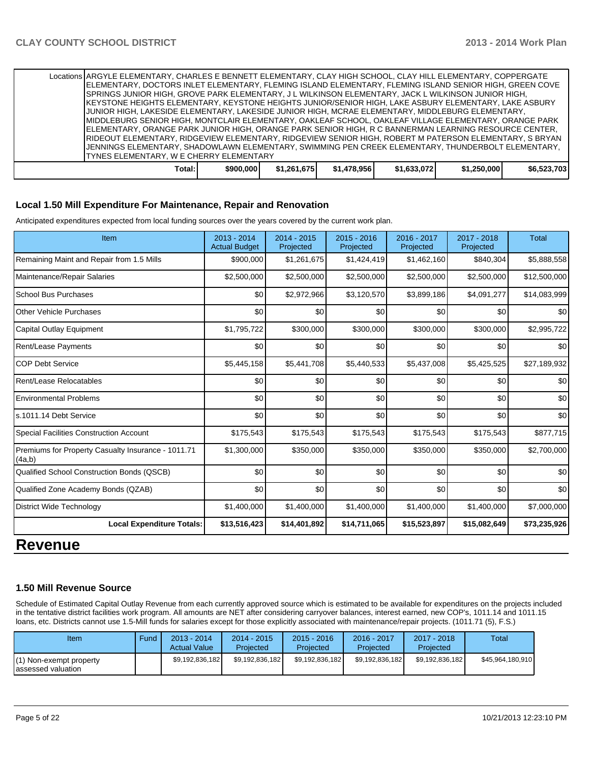| Locations ARGYLE ELEMENTARY, CHARLES E BENNETT ELEMENTARY, CLAY HIGH SCHOOL, CLAY HILL ELEMENTARY, COPPERGATE |           |             |             |             |             |             |
|---------------------------------------------------------------------------------------------------------------|-----------|-------------|-------------|-------------|-------------|-------------|
| IELEMENTARY, DOCTORS INLET ELEMENTARY, FLEMING ISLAND ELEMENTARY, FLEMING ISLAND SENIOR HIGH, GREEN COVE      |           |             |             |             |             |             |
| SPRINGS JUNIOR HIGH, GROVE PARK ELEMENTARY, J L WILKINSON ELEMENTARY, JACK L WILKINSON JUNIOR HIGH,           |           |             |             |             |             |             |
| IKEYSTONE HEIGHTS ELEMENTARY, KEYSTONE HEIGHTS JUNIOR/SENIOR HIGH, LAKE ASBURY ELEMENTARY, LAKE ASBURY        |           |             |             |             |             |             |
| JUNIOR HIGH, LAKESIDE ELEMENTARY, LAKESIDE JUNIOR HIGH, MCRAE ELEMENTARY, MIDDLEBURG ELEMENTARY,              |           |             |             |             |             |             |
| IMIDDLEBURG SENIOR HIGH, MONTCLAIR ELEMENTARY, OAKLEAF SCHOOL, OAKLEAF VILLAGE ELEMENTARY, ORANGE PARK        |           |             |             |             |             |             |
| ELEMENTARY, ORANGE PARK JUNIOR HIGH, ORANGE PARK SENIOR HIGH, R C BANNERMAN LEARNING RESOURCE CENTER,         |           |             |             |             |             |             |
| RIDEOUT ELEMENTARY, RIDGEVIEW ELEMENTARY, RIDGEVIEW SENIOR HIGH, ROBERT M PATERSON ELEMENTARY, S BRYAN        |           |             |             |             |             |             |
| JENNINGS ELEMENTARY, SHADOWLAWN ELEMENTARY, SWIMMING PEN CREEK ELEMENTARY, THUNDERBOLT ELEMENTARY,            |           |             |             |             |             |             |
| <b>ITYNES ELEMENTARY, W E CHERRY ELEMENTARY</b>                                                               |           |             |             |             |             |             |
| Total:                                                                                                        | \$900.000 | \$1.261.675 | \$1.478.956 | \$1.633.072 | \$1.250.000 | \$6.523.703 |

#### **Local 1.50 Mill Expenditure For Maintenance, Repair and Renovation**

Anticipated expenditures expected from local funding sources over the years covered by the current work plan.

| Item                                                         | 2013 - 2014<br><b>Actual Budget</b> | 2014 - 2015<br>Projected | $2015 - 2016$<br>Projected | 2016 - 2017<br>Projected | 2017 - 2018<br>Projected | <b>Total</b> |
|--------------------------------------------------------------|-------------------------------------|--------------------------|----------------------------|--------------------------|--------------------------|--------------|
| Remaining Maint and Repair from 1.5 Mills                    | \$900,000                           | \$1,261,675              | \$1,424,419                | \$1,462,160              | \$840,304                | \$5,888,558  |
| Maintenance/Repair Salaries                                  | \$2,500,000                         | \$2,500,000              | \$2,500,000                | \$2,500,000              | \$2,500,000              | \$12,500,000 |
| <b>School Bus Purchases</b>                                  | \$0                                 | \$2,972,966              | \$3,120,570                | \$3,899,186              | \$4,091,277              | \$14,083,999 |
| <b>Other Vehicle Purchases</b>                               | \$0                                 | \$0                      | \$0                        | \$0                      | \$0                      | \$0          |
| Capital Outlay Equipment                                     | \$1,795,722                         | \$300,000                | \$300,000                  | \$300,000                | \$300,000                | \$2,995,722  |
| Rent/Lease Payments                                          | \$0                                 | \$0                      | \$0                        | \$0                      | \$0                      | \$0          |
| <b>COP Debt Service</b>                                      | \$5,445,158                         | \$5,441,708              | \$5,440,533                | \$5,437,008              | \$5,425,525              | \$27,189,932 |
| Rent/Lease Relocatables                                      | \$0                                 | \$0                      | \$0                        | \$0                      | \$0                      | \$0          |
| <b>Environmental Problems</b>                                | \$0                                 | \$0                      | \$0                        | \$0                      | \$0                      | \$0          |
| ls.1011.14 Debt Service                                      | \$0                                 | \$0                      | \$0                        | \$0                      | \$0                      | \$0          |
| Special Facilities Construction Account                      | \$175,543                           | \$175,543                | \$175,543                  | \$175,543                | \$175,543                | \$877,715    |
| Premiums for Property Casualty Insurance - 1011.71<br>(4a,b) | \$1,300,000                         | \$350,000                | \$350,000                  | \$350,000                | \$350,000                | \$2,700,000  |
| Qualified School Construction Bonds (QSCB)                   | \$0                                 | \$0                      | \$0                        | \$0                      | \$0                      | \$0          |
| Qualified Zone Academy Bonds (QZAB)                          | \$0                                 | \$0                      | \$0                        | \$0                      | \$0                      | \$0          |
| <b>District Wide Technology</b>                              | \$1,400,000                         | \$1,400,000              | \$1,400,000                | \$1,400,000              | \$1,400,000              | \$7,000,000  |
| <b>Local Expenditure Totals:</b>                             | \$13,516,423                        | \$14,401,892             | \$14,711,065               | \$15,523,897             | \$15,082,649             | \$73,235,926 |
| Revenue                                                      |                                     |                          |                            |                          |                          |              |

#### **1.50 Mill Revenue Source**

Schedule of Estimated Capital Outlay Revenue from each currently approved source which is estimated to be available for expenditures on the projects included in the tentative district facilities work program. All amounts are NET after considering carryover balances, interest earned, new COP's, 1011.14 and 1011.15 loans, etc. Districts cannot use 1.5-Mill funds for salaries except for those explicitly associated with maintenance/repair projects. (1011.71 (5), F.S.)

| Item                                           | Fund | 2013 - 2014<br><b>Actual Value</b> | $2014 - 2015$<br>Projected | $2015 - 2016$<br>Projected | 2016 - 2017<br>Projected | $2017 - 2018$<br>Projected | Total            |
|------------------------------------------------|------|------------------------------------|----------------------------|----------------------------|--------------------------|----------------------------|------------------|
| (1) Non-exempt property<br>'assessed valuation |      | \$9,192,836,182                    | \$9.192.836.182            | \$9.192.836.182            | \$9,192,836,182          | \$9.192.836.182            | \$45,964,180,910 |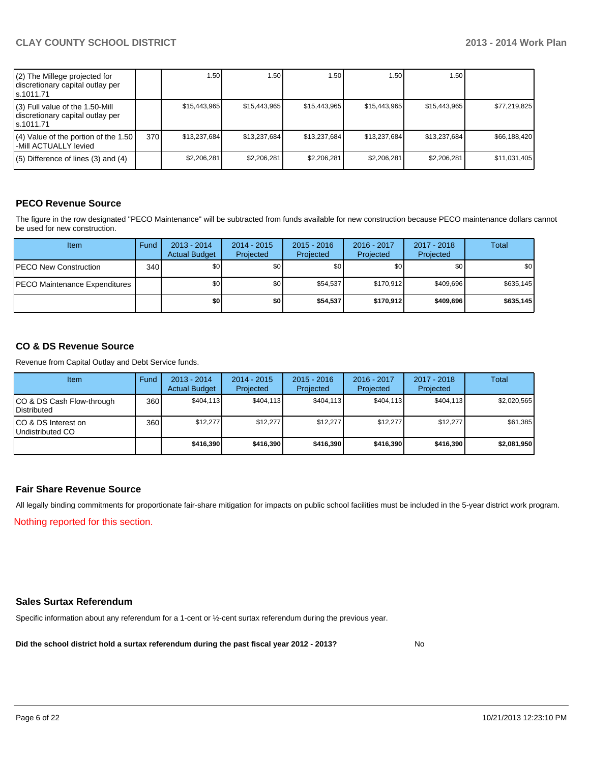| (2) The Millege projected for<br>discretionary capital outlay per<br>s.1011.71    |     | 1.50         | .50 <sub>1</sub> | 1.50         | 1.50         | 1.50         |              |
|-----------------------------------------------------------------------------------|-----|--------------|------------------|--------------|--------------|--------------|--------------|
| (3) Full value of the 1.50-Mill<br>discretionary capital outlay per<br>ls.1011.71 |     | \$15,443,965 | \$15.443.965     | \$15,443,965 | \$15,443,965 | \$15,443,965 | \$77,219,825 |
| (4) Value of the portion of the 1.50<br>-Mill ACTUALLY levied                     | 370 | \$13.237.684 | \$13.237.684     | \$13,237,684 | \$13.237.684 | \$13.237.684 | \$66,188,420 |
| $(5)$ Difference of lines (3) and (4)                                             |     | \$2.206.281  | \$2.206.281      | \$2,206,281  | \$2.206.281  | \$2,206,281  | \$11,031,405 |

#### **PECO Revenue Source**

The figure in the row designated "PECO Maintenance" will be subtracted from funds available for new construction because PECO maintenance dollars cannot be used for new construction.

| Item                                  | Fund | $2013 - 2014$<br><b>Actual Budget</b> | $2014 - 2015$<br>Projected | $2015 - 2016$<br>Projected | 2016 - 2017<br>Projected | 2017 - 2018<br>Projected | Total     |
|---------------------------------------|------|---------------------------------------|----------------------------|----------------------------|--------------------------|--------------------------|-----------|
| <b>PECO New Construction</b>          | 340  | \$0 I                                 | \$0 <sub>1</sub>           | \$0                        | \$0 <sub>0</sub>         | \$0 <sub>1</sub>         | \$0       |
| <b>IPECO Maintenance Expenditures</b> |      | \$٥Ι                                  | \$0                        | \$54,537                   | \$170.912                | \$409.696                | \$635,145 |
|                                       |      | \$0 I                                 | \$O                        | \$54,537                   | \$170.912                | \$409,696                | \$635,145 |

#### **CO & DS Revenue Source**

Revenue from Capital Outlay and Debt Service funds.

| Item                                               | Fund | $2013 - 2014$<br><b>Actual Budget</b> | $2014 - 2015$<br>Projected | $2015 - 2016$<br>Projected | $2016 - 2017$<br>Projected | $2017 - 2018$<br>Projected | Total       |
|----------------------------------------------------|------|---------------------------------------|----------------------------|----------------------------|----------------------------|----------------------------|-------------|
| ICO & DS Cash Flow-through<br><b>I</b> Distributed | 360  | \$404.113                             | \$404.113                  | \$404.113                  | \$404.113                  | \$404.113                  | \$2,020,565 |
| ICO & DS Interest on<br>Undistributed CO           | 360  | \$12,277                              | \$12,277                   | \$12,277                   | \$12,277                   | \$12.277                   | \$61,385    |
|                                                    |      | \$416,390                             | \$416,390                  | \$416.390                  | \$416,390                  | \$416,390                  | \$2,081,950 |

#### **Fair Share Revenue Source**

Nothing reported for this section. All legally binding commitments for proportionate fair-share mitigation for impacts on public school facilities must be included in the 5-year district work program.

#### **Sales Surtax Referendum**

Specific information about any referendum for a 1-cent or ½-cent surtax referendum during the previous year.

**Did the school district hold a surtax referendum during the past fiscal year 2012 - 2013?**

No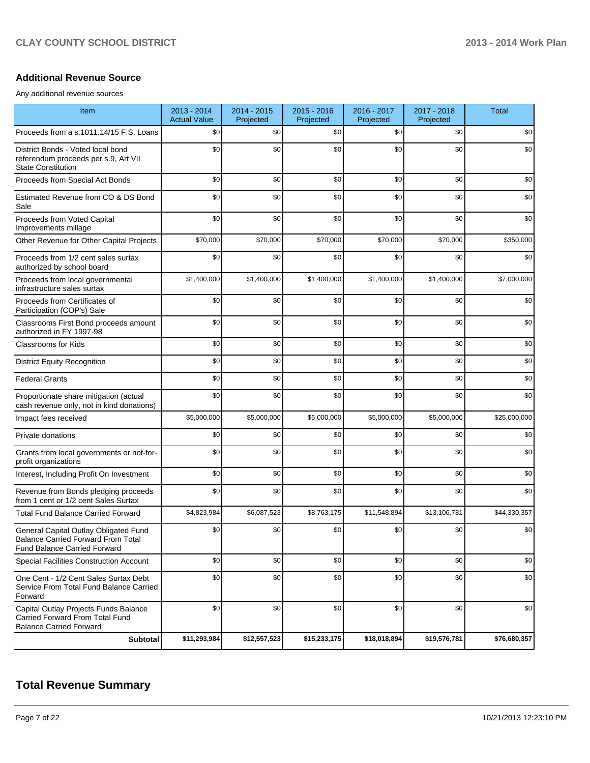#### **Additional Revenue Source**

Any additional revenue sources

| Item                                                                                                                      | $2013 - 2014$<br><b>Actual Value</b> | 2014 - 2015<br>Projected | 2015 - 2016<br>Projected | 2016 - 2017<br>Projected | 2017 - 2018<br>Projected | <b>Total</b> |
|---------------------------------------------------------------------------------------------------------------------------|--------------------------------------|--------------------------|--------------------------|--------------------------|--------------------------|--------------|
| Proceeds from a s.1011.14/15 F.S. Loans                                                                                   | \$0                                  | \$0                      | \$0                      | \$0                      | \$0                      | \$0          |
| District Bonds - Voted local bond<br>referendum proceeds per s.9, Art VII<br><b>State Constitution</b>                    | \$0                                  | \$0                      | \$0                      | \$0                      | \$0                      | \$0          |
| Proceeds from Special Act Bonds                                                                                           | \$0                                  | \$0                      | \$0                      | \$0                      | \$0                      | \$0          |
| Estimated Revenue from CO & DS Bond<br>Sale                                                                               | \$0                                  | \$0                      | \$0                      | \$0                      | \$0                      | \$0          |
| Proceeds from Voted Capital<br>Improvements millage                                                                       | \$0                                  | \$0                      | \$0                      | \$0                      | \$0                      | \$0          |
| Other Revenue for Other Capital Projects                                                                                  | \$70,000                             | \$70,000                 | \$70,000                 | \$70,000                 | \$70,000                 | \$350,000    |
| Proceeds from 1/2 cent sales surtax<br>authorized by school board                                                         | \$0                                  | \$0                      | \$0                      | \$0                      | \$0                      | \$0          |
| Proceeds from local governmental<br>infrastructure sales surtax                                                           | \$1,400,000                          | \$1,400,000              | \$1,400,000              | \$1,400,000              | \$1,400,000              | \$7,000,000  |
| Proceeds from Certificates of<br>Participation (COP's) Sale                                                               | \$0                                  | \$0                      | \$0                      | \$0                      | \$0                      | \$0          |
| Classrooms First Bond proceeds amount<br>authorized in FY 1997-98                                                         | \$0                                  | \$0                      | \$0                      | \$0                      | \$0                      | \$0          |
| <b>Classrooms for Kids</b>                                                                                                | \$0                                  | \$0                      | \$0                      | \$0                      | \$0                      | \$0          |
| <b>District Equity Recognition</b>                                                                                        | \$0                                  | \$0                      | \$0                      | \$0                      | \$0                      | \$0          |
| <b>Federal Grants</b>                                                                                                     | \$0                                  | \$0                      | \$0                      | \$0                      | \$0                      | \$0          |
| Proportionate share mitigation (actual<br>cash revenue only, not in kind donations)                                       | \$0                                  | \$0                      | \$0                      | \$0                      | \$0                      | \$0          |
| Impact fees received                                                                                                      | \$5,000,000                          | \$5,000,000              | \$5,000,000              | \$5,000,000              | \$5,000,000              | \$25,000,000 |
| Private donations                                                                                                         | \$0                                  | \$0                      | \$0                      | \$0                      | \$0                      | \$0          |
| Grants from local governments or not-for-<br>profit organizations                                                         | \$0                                  | \$0                      | \$0                      | \$0                      | \$0                      | \$0          |
| Interest, Including Profit On Investment                                                                                  | \$0                                  | \$0                      | \$0                      | \$0                      | \$0                      | \$0          |
| Revenue from Bonds pledging proceeds<br>from 1 cent or 1/2 cent Sales Surtax                                              | \$0                                  | \$0                      | \$0                      | \$0                      | \$0                      | \$0          |
| <b>Total Fund Balance Carried Forward</b>                                                                                 | \$4,823,984                          | \$6,087,523              | \$8,763,175              | \$11,548,894             | \$13.106.781             | \$44,330,357 |
| General Capital Outlay Obligated Fund<br><b>Balance Carried Forward From Total</b><br><b>Fund Balance Carried Forward</b> | \$0                                  | \$0                      | \$0                      | \$0                      | \$0                      | \$0          |
| Special Facilities Construction Account                                                                                   | \$0                                  | \$0                      | \$0                      | \$0                      | \$0                      | \$0          |
| One Cent - 1/2 Cent Sales Surtax Debt<br>Service From Total Fund Balance Carried<br>Forward                               | \$0                                  | \$0                      | \$0                      | \$0                      | \$0                      | \$0          |
| Capital Outlay Projects Funds Balance<br>Carried Forward From Total Fund<br><b>Balance Carried Forward</b>                | \$0                                  | \$0                      | \$0                      | \$0                      | \$0                      | \$0          |
| Subtotal                                                                                                                  | \$11,293,984                         | \$12,557,523             | \$15,233,175             | \$18,018,894             | \$19,576,781             | \$76,680,357 |

## **Total Revenue Summary**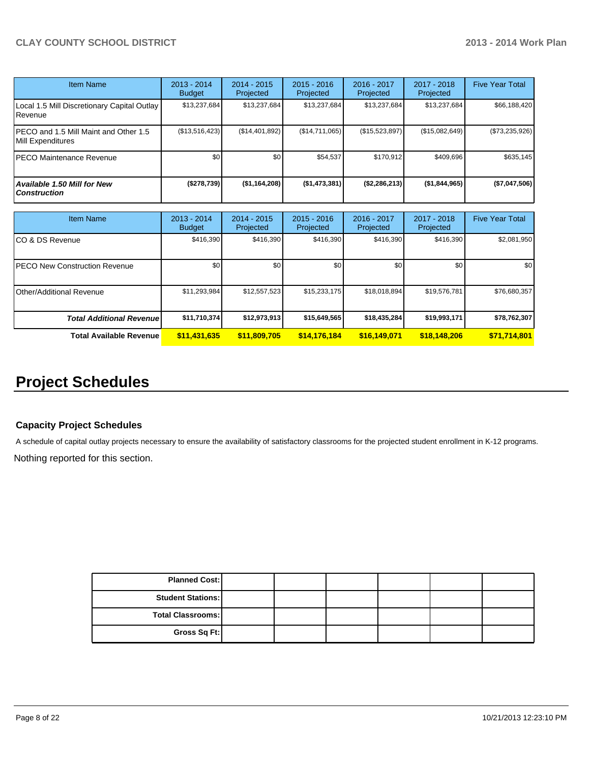| <b>Item Name</b>                                           | 2013 - 2014<br><b>Budget</b> | $2014 - 2015$<br>Projected | $2015 - 2016$<br>Projected | $2016 - 2017$<br>Projected | 2017 - 2018<br>Projected | <b>Five Year Total</b> |
|------------------------------------------------------------|------------------------------|----------------------------|----------------------------|----------------------------|--------------------------|------------------------|
| Local 1.5 Mill Discretionary Capital Outlay<br>Revenue     | \$13,237,684                 | \$13,237,684               | \$13,237,684               | \$13,237,684               | \$13,237,684             | \$66,188,420           |
| PECO and 1.5 Mill Maint and Other 1.5<br>Mill Expenditures | (\$13,516,423)               | (\$14,401,892)             | (\$14,711,065)             | (\$15,523,897)             | (\$15,082,649)           | $(\$73,235,926)$       |
| PECO Maintenance Revenue                                   | \$0                          | \$0                        | \$54,537                   | \$170.912                  | \$409.696                | \$635,145              |
| <b>Available 1.50 Mill for New</b><br><b>Construction</b>  | (\$278,739)                  | (\$1,164,208)              | (\$1,473,381)              | (S2, 286, 213)             | (\$1,844,965)            | (\$7,047,506)          |

| <b>Item Name</b>                      | 2013 - 2014<br><b>Budget</b> | $2014 - 2015$<br>Projected | $2015 - 2016$<br>Projected | 2016 - 2017<br>Projected | 2017 - 2018<br>Projected | <b>Five Year Total</b> |
|---------------------------------------|------------------------------|----------------------------|----------------------------|--------------------------|--------------------------|------------------------|
| ICO & DS Revenue                      | \$416,390                    | \$416,390                  | \$416.390                  | \$416,390                | \$416,390                | \$2,081,950            |
| <b>IPECO New Construction Revenue</b> | \$0                          | \$0                        | \$0                        | \$0                      | \$0 <sub>1</sub>         | \$0 <sub>1</sub>       |
| <b>I</b> Other/Additional Revenue     | \$11,293,984                 | \$12,557,523               | \$15,233,175               | \$18,018,894             | \$19,576,781             | \$76,680,357           |
| <b>Total Additional Revenuel</b>      | \$11,710,374                 | \$12,973,913               | \$15,649,565               | \$18,435,284             | \$19,993,171             | \$78,762,307           |
| <b>Total Available Revenue</b>        | \$11,431,635                 | \$11,809,705               | \$14,176,184               | \$16,149,071             | \$18,148,206             | \$71,714,801           |

# **Project Schedules**

#### **Capacity Project Schedules**

A schedule of capital outlay projects necessary to ensure the availability of satisfactory classrooms for the projected student enrollment in K-12 programs.

Nothing reported for this section.

| <b>Planned Cost:</b>     |  |  |  |
|--------------------------|--|--|--|
| <b>Student Stations:</b> |  |  |  |
| Total Classrooms:        |  |  |  |
| Gross Sq Ft:             |  |  |  |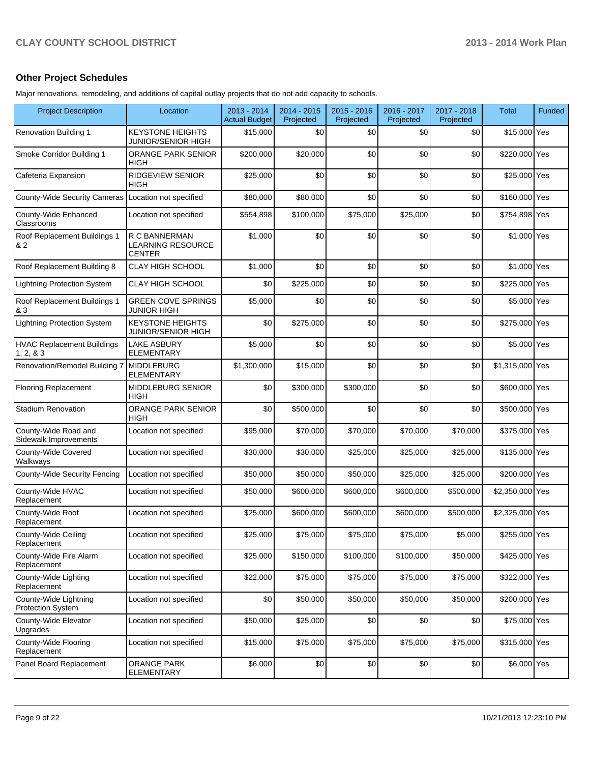#### **Other Project Schedules**

Major renovations, remodeling, and additions of capital outlay projects that do not add capacity to schools.

| <b>Project Description</b>                        | Location                                                   | 2013 - 2014<br><b>Actual Budget</b> | 2014 - 2015<br>Projected | 2015 - 2016<br>Projected | 2016 - 2017<br>Projected | 2017 - 2018<br>Projected | <b>Total</b>    | Funded |
|---------------------------------------------------|------------------------------------------------------------|-------------------------------------|--------------------------|--------------------------|--------------------------|--------------------------|-----------------|--------|
| <b>Renovation Building 1</b>                      | <b>KEYSTONE HEIGHTS</b><br><b>JUNIOR/SENIOR HIGH</b>       | \$15,000                            | \$0                      | \$0                      | \$0                      | \$0                      | \$15,000 Yes    |        |
| Smoke Corridor Building 1                         | <b>ORANGE PARK SENIOR</b><br><b>HIGH</b>                   | \$200,000                           | \$20,000                 | \$0                      | \$0                      | \$0                      | \$220,000 Yes   |        |
| Cafeteria Expansion                               | <b>RIDGEVIEW SENIOR</b><br><b>HIGH</b>                     | \$25,000                            | \$0                      | \$0                      | \$0                      | \$0                      | \$25,000 Yes    |        |
| County-Wide Security Cameras                      | Location not specified                                     | \$80,000                            | \$80,000                 | \$0                      | \$0                      | \$0                      | \$160,000 Yes   |        |
| County-Wide Enhanced<br>Classrooms                | Location not specified                                     | \$554,898                           | \$100,000                | \$75,000                 | \$25,000                 | \$0                      | \$754,898 Yes   |        |
| Roof Replacement Buildings 1<br>& 2               | R C BANNERMAN<br><b>LEARNING RESOURCE</b><br><b>CENTER</b> | \$1,000                             | \$0                      | \$0                      | \$0                      | \$0                      | \$1,000 Yes     |        |
| Roof Replacement Building 8                       | <b>CLAY HIGH SCHOOL</b>                                    | \$1,000                             | \$0                      | \$0                      | \$0                      | \$0                      | \$1,000 Yes     |        |
| <b>Lightning Protection System</b>                | <b>CLAY HIGH SCHOOL</b>                                    | \$0                                 | \$225,000                | \$0                      | \$0                      | \$0                      | \$225,000 Yes   |        |
| Roof Replacement Buildings 1<br>& 3               | <b>GREEN COVE SPRINGS</b><br><b>JUNIOR HIGH</b>            | \$5,000                             | \$0                      | \$0                      | \$0                      | \$0                      | \$5,000 Yes     |        |
| Lightning Protection System                       | <b>KEYSTONE HEIGHTS</b><br><b>JUNIOR/SENIOR HIGH</b>       | \$0                                 | \$275,000                | \$0                      | \$0                      | \$0                      | \$275,000 Yes   |        |
| <b>HVAC Replacement Buildings</b><br>1, 2, 8, 3   | <b>LAKE ASBURY</b><br>ELEMENTARY                           | \$5,000                             | \$0                      | \$0                      | \$0                      | \$0                      | \$5,000 Yes     |        |
| Renovation/Remodel Building 7                     | <b>MIDDLEBURG</b><br>ELEMENTARY                            | \$1,300,000                         | \$15,000                 | \$0                      | \$0                      | \$0                      | \$1,315,000 Yes |        |
| <b>Flooring Replacement</b>                       | MIDDLEBURG SENIOR<br>HIGH                                  | \$0                                 | \$300,000                | \$300,000                | \$0                      | \$0                      | \$600,000 Yes   |        |
| <b>Stadium Renovation</b>                         | ORANGE PARK SENIOR<br><b>HIGH</b>                          | \$0                                 | \$500,000                | \$0                      | \$0                      | \$0                      | \$500,000 Yes   |        |
| County-Wide Road and<br>Sidewalk Improvements     | Location not specified                                     | \$95,000                            | \$70,000                 | \$70,000                 | \$70,000                 | \$70,000                 | \$375,000 Yes   |        |
| County-Wide Covered<br>Walkways                   | Location not specified                                     | \$30,000                            | \$30,000                 | \$25,000                 | \$25,000                 | \$25,000                 | \$135,000 Yes   |        |
| County-Wide Security Fencing                      | Location not specified                                     | \$50,000                            | \$50,000                 | \$50,000                 | \$25,000                 | \$25,000                 | \$200,000 Yes   |        |
| County-Wide HVAC<br>Replacement                   | Location not specified                                     | \$50,000                            | \$600,000                | \$600,000                | \$600,000                | \$500,000                | \$2,350,000 Yes |        |
| County-Wide Roof<br>Replacement                   | Location not specified                                     | \$25,000                            | \$600,000                | \$600,000                | \$600,000                | \$500,000                | \$2,325,000 Yes |        |
| County-Wide Ceiling<br>Replacement                | Location not specified                                     | \$25,000                            | \$75,000                 | \$75,000                 | \$75,000                 | \$5,000                  | \$255,000 Yes   |        |
| County-Wide Fire Alarm<br>Replacement             | Location not specified                                     | \$25,000                            | \$150,000                | \$100,000                | \$100,000                | \$50,000                 | \$425,000 Yes   |        |
| County-Wide Lighting<br>Replacement               | Location not specified                                     | \$22,000                            | \$75,000                 | \$75,000                 | \$75,000                 | \$75,000                 | \$322,000 Yes   |        |
| County-Wide Lightning<br><b>Protection System</b> | Location not specified                                     | \$0                                 | \$50,000                 | \$50,000                 | \$50,000                 | \$50,000                 | \$200,000 Yes   |        |
| County-Wide Elevator<br>Upgrades                  | Location not specified                                     | \$50,000                            | \$25,000                 | \$0                      | \$0                      | \$0                      | \$75,000 Yes    |        |
| County-Wide Flooring<br>Replacement               | Location not specified                                     | \$15,000                            | \$75,000                 | \$75,000                 | \$75,000                 | \$75,000                 | \$315,000 Yes   |        |
| Panel Board Replacement                           | ORANGE PARK<br>ELEMENTARY                                  | \$6,000                             | \$0                      | \$0                      | \$0                      | \$0                      | \$6,000 Yes     |        |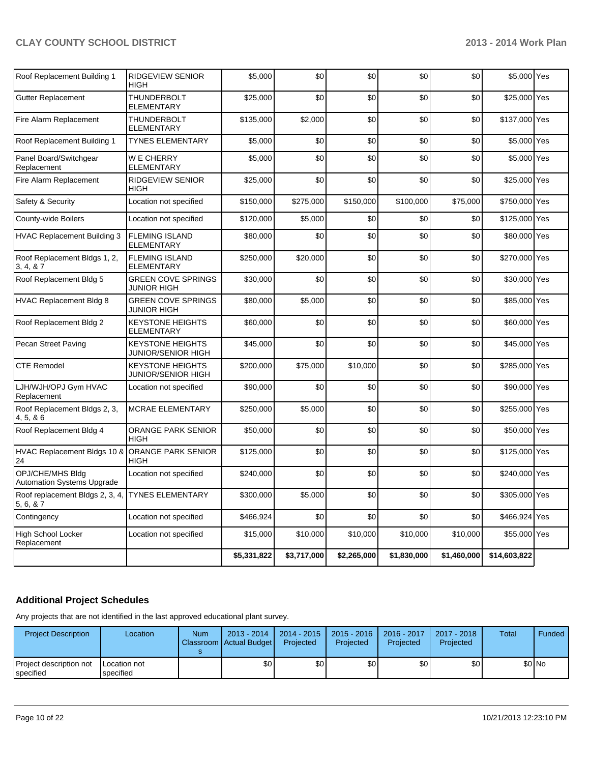| Roof Replacement Building 1                           | <b>RIDGEVIEW SENIOR</b><br><b>HIGH</b>        | \$5,000     | \$0         | \$0         | \$0         | \$0         | \$5,000 Yes   |  |
|-------------------------------------------------------|-----------------------------------------------|-------------|-------------|-------------|-------------|-------------|---------------|--|
| Gutter Replacement                                    | THUNDERBOLT<br><b>ELEMENTARY</b>              | \$25,000    | \$0         | \$0         | \$0         | \$0         | \$25,000 Yes  |  |
| Fire Alarm Replacement                                | <b>THUNDERBOLT</b><br><b>ELEMENTARY</b>       | \$135,000   | \$2,000     | \$0         | \$0         | \$0         | \$137,000 Yes |  |
| Roof Replacement Building 1                           | <b>TYNES ELEMENTARY</b>                       | \$5,000     | \$0         | \$0         | \$0         | \$0         | \$5,000 Yes   |  |
| Panel Board/Switchgear<br>Replacement                 | W E CHERRY<br>ELEMENTARY                      | \$5,000     | \$0         | \$0         | \$0         | \$0         | \$5,000 Yes   |  |
| Fire Alarm Replacement                                | <b>RIDGEVIEW SENIOR</b><br>HIGH               | \$25,000    | \$0         | \$0         | \$0         | \$0         | \$25,000 Yes  |  |
| Safety & Security                                     | Location not specified                        | \$150,000   | \$275,000   | \$150,000   | \$100,000   | \$75,000    | \$750,000 Yes |  |
| County-wide Boilers                                   | Location not specified                        | \$120,000   | \$5,000     | \$0         | \$0         | \$0         | \$125,000 Yes |  |
| <b>HVAC Replacement Building 3</b>                    | <b>FLEMING ISLAND</b><br><b>ELEMENTARY</b>    | \$80,000    | \$0         | \$0         | \$0         | \$0         | \$80,000 Yes  |  |
| Roof Replacement Bldgs 1, 2,<br>3, 4, 8, 7            | <b>FLEMING ISLAND</b><br><b>ELEMENTARY</b>    | \$250.000   | \$20,000    | \$0         | \$0         | \$0         | \$270,000 Yes |  |
| Roof Replacement Bldg 5                               | <b>GREEN COVE SPRINGS</b><br>JUNIOR HIGH      | \$30,000    | \$0         | \$0         | \$0         | \$0         | \$30,000 Yes  |  |
| <b>HVAC Replacement Bldg 8</b>                        | <b>GREEN COVE SPRINGS</b><br>JUNIOR HIGH      | \$80,000    | \$5,000     | \$0         | \$0         | \$0         | \$85,000 Yes  |  |
| Roof Replacement Bldg 2                               | <b>KEYSTONE HEIGHTS</b><br>ELEMENTARY         | \$60,000    | \$0         | \$0         | \$0         | \$0         | \$60,000 Yes  |  |
| Pecan Street Paving                                   | <b>KEYSTONE HEIGHTS</b><br>JUNIOR/SENIOR HIGH | \$45,000    | \$0         | \$0         | \$0         | \$0         | \$45,000 Yes  |  |
| <b>CTE Remodel</b>                                    | <b>KEYSTONE HEIGHTS</b><br>JUNIOR/SENIOR HIGH | \$200,000   | \$75,000    | \$10,000    | \$0         | \$0         | \$285,000 Yes |  |
| LJH/WJH/OPJ Gym HVAC<br>Replacement                   | Location not specified                        | \$90,000    | \$0         | \$0         | \$0         | \$0         | \$90,000 Yes  |  |
| Roof Replacement Bldgs 2, 3,<br>4, 5, 8, 6            | <b>MCRAE ELEMENTARY</b>                       | \$250,000   | \$5,000     | \$0         | \$0         | \$0         | \$255,000 Yes |  |
| Roof Replacement Bldg 4                               | ORANGE PARK SENIOR<br>HIGH                    | \$50,000    | \$0         | \$0         | \$0         | \$0         | \$50,000 Yes  |  |
| HVAC Replacement Bldgs 10 & ORANGE PARK SENIOR<br>24  | <b>HIGH</b>                                   | \$125,000   | \$0         | \$0         | \$0         | \$0         | \$125,000 Yes |  |
| OPJ/CHE/MHS Bldg<br><b>Automation Systems Upgrade</b> | Location not specified                        | \$240,000   | \$0         | \$0         | \$0         | \$0         | \$240,000 Yes |  |
| Roof replacement Bldgs 2, 3, 4,<br>5, 6, 8, 7         | <b>TYNES ELEMENTARY</b>                       | \$300,000   | \$5,000     | \$0         | \$0         | \$0         | \$305,000 Yes |  |
| Contingency                                           | Location not specified                        | \$466,924   | \$0         | \$0         | \$0         | \$0         | \$466,924 Yes |  |
| High School Locker<br>Replacement                     | Location not specified                        | \$15,000    | \$10,000    | \$10,000    | \$10,000    | \$10,000    | \$55,000 Yes  |  |
|                                                       |                                               | \$5,331,822 | \$3,717,000 | \$2,265,000 | \$1,830,000 | \$1,460,000 | \$14,603,822  |  |

### **Additional Project Schedules**

Any projects that are not identified in the last approved educational plant survey.

| <b>Project Description</b>           | Location                  | <b>Num</b> | $2013 - 2014$<br>Classroom Actual Budget | $\mid$ 2014 - 2015 $\mid$<br>Projected | 2015 - 2016<br>Projected | 2016 - 2017<br>Projected | $2017 - 2018$<br>Projected | Total | Funded |
|--------------------------------------|---------------------------|------------|------------------------------------------|----------------------------------------|--------------------------|--------------------------|----------------------------|-------|--------|
| Project description not<br>specified | Location not<br>specified |            | \$0                                      | \$0 <sub>l</sub>                       | \$0                      | \$0 I                    | \$0                        |       | \$0 No |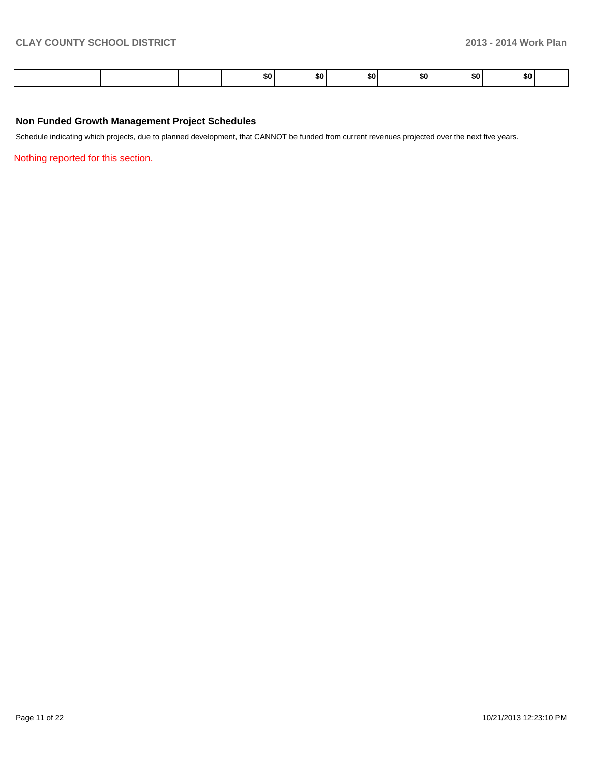|  | \$OI | 50 L | SO I | .so ' | \$OI | \$O I |  |
|--|------|------|------|-------|------|-------|--|
|--|------|------|------|-------|------|-------|--|

#### **Non Funded Growth Management Project Schedules**

Schedule indicating which projects, due to planned development, that CANNOT be funded from current revenues projected over the next five years.

Nothing reported for this section.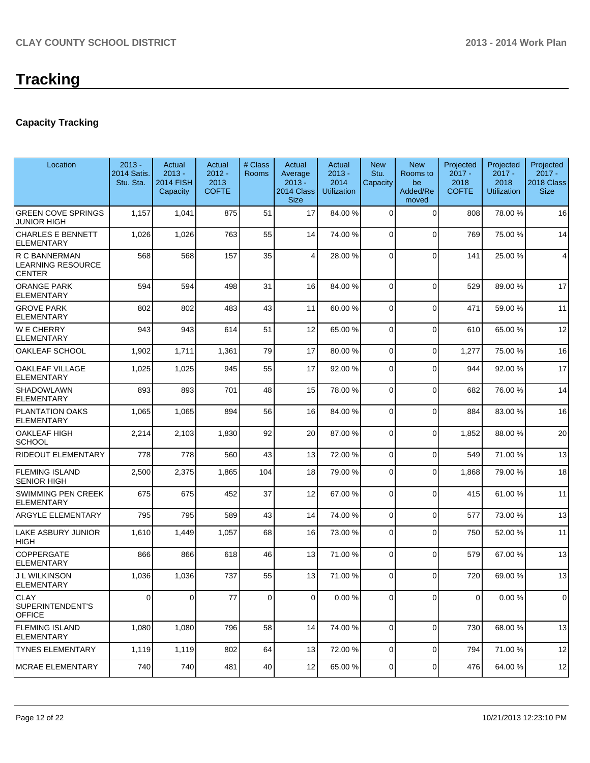### **Capacity Tracking**

| Location                                                   | $2013 -$<br><b>2014 Satis.</b><br>Stu. Sta. | Actual<br>$2013 -$<br><b>2014 FISH</b><br>Capacity | Actual<br>$2012 -$<br>2013<br><b>COFTE</b> | # Class<br><b>Rooms</b> | Actual<br>Average<br>$2013 -$<br>2014 Class<br><b>Size</b> | Actual<br>$2013 -$<br>2014<br><b>Utilization</b> | <b>New</b><br>Stu.<br>Capacity | <b>New</b><br>Rooms to<br>be<br>Added/Re<br>moved | Projected<br>$2017 -$<br>2018<br><b>COFTE</b> | Projected<br>$2017 -$<br>2018<br><b>Utilization</b> | Projected<br>$2017 -$<br>2018 Class<br><b>Size</b> |
|------------------------------------------------------------|---------------------------------------------|----------------------------------------------------|--------------------------------------------|-------------------------|------------------------------------------------------------|--------------------------------------------------|--------------------------------|---------------------------------------------------|-----------------------------------------------|-----------------------------------------------------|----------------------------------------------------|
| <b>GREEN COVE SPRINGS</b><br><b>JUNIOR HIGH</b>            | 1,157                                       | 1,041                                              | 875                                        | 51                      | 17                                                         | 84.00 %                                          | $\Omega$                       | $\Omega$                                          | 808                                           | 78.00%                                              | 16                                                 |
| <b>CHARLES E BENNETT</b><br><b>ELEMENTARY</b>              | 1,026                                       | 1,026                                              | 763                                        | 55                      | 14                                                         | 74.00 %                                          | $\Omega$                       | $\Omega$                                          | 769                                           | 75.00 %                                             | 14                                                 |
| R C BANNERMAN<br><b>LEARNING RESOURCE</b><br><b>CENTER</b> | 568                                         | 568                                                | 157                                        | 35                      | 4                                                          | 28.00 %                                          | $\Omega$                       | $\Omega$                                          | 141                                           | 25.00 %                                             | 4                                                  |
| <b>ORANGE PARK</b><br><b>ELEMENTARY</b>                    | 594                                         | 594                                                | 498                                        | 31                      | 16                                                         | 84.00 %                                          | $\Omega$                       | $\Omega$                                          | 529                                           | 89.00 %                                             | 17                                                 |
| <b>GROVE PARK</b><br>ELEMENTARY                            | 802                                         | 802                                                | 483                                        | 43                      | 11                                                         | 60.00 %                                          | $\Omega$                       | $\Omega$                                          | 471                                           | 59.00 %                                             | 11                                                 |
| <b>WE CHERRY</b><br>ELEMENTARY                             | 943                                         | 943                                                | 614                                        | 51                      | 12                                                         | 65.00 %                                          | $\Omega$                       | $\Omega$                                          | 610                                           | 65.00 %                                             | 12                                                 |
| OAKLEAF SCHOOL                                             | 1,902                                       | 1,711                                              | 1,361                                      | 79                      | 17                                                         | 80.00 %                                          | 0                              | $\Omega$                                          | 1,277                                         | 75.00 %                                             | 16                                                 |
| OAKLEAF VILLAGE<br><b>ELEMENTARY</b>                       | 1,025                                       | 1,025                                              | 945                                        | 55                      | 17                                                         | 92.00 %                                          | 0                              | $\Omega$                                          | 944                                           | 92.00%                                              | 17                                                 |
| <b>SHADOWLAWN</b><br><b>ELEMENTARY</b>                     | 893                                         | 893                                                | 701                                        | 48                      | 15                                                         | 78.00 %                                          | 0                              | $\Omega$                                          | 682                                           | 76.00%                                              | 14                                                 |
| <b>PLANTATION OAKS</b><br><b>ELEMENTARY</b>                | 1,065                                       | 1,065                                              | 894                                        | 56                      | 16                                                         | 84.00 %                                          | $\Omega$                       | $\Omega$                                          | 884                                           | 83.00 %                                             | 16                                                 |
| <b>OAKLEAF HIGH</b><br><b>SCHOOL</b>                       | 2,214                                       | 2,103                                              | 1,830                                      | 92                      | 20                                                         | 87.00 %                                          | 0                              | $\Omega$                                          | 1,852                                         | 88.00%                                              | 20                                                 |
| <b>RIDEOUT ELEMENTARY</b>                                  | 778                                         | 778                                                | 560                                        | 43                      | 13                                                         | 72.00 %                                          | 0                              | $\Omega$                                          | 549                                           | 71.00%                                              | 13                                                 |
| <b>FLEMING ISLAND</b><br><b>SENIOR HIGH</b>                | 2,500                                       | 2,375                                              | 1,865                                      | 104                     | 18                                                         | 79.00 %                                          | 0                              | $\Omega$                                          | 1,868                                         | 79.00 %                                             | 18                                                 |
| <b>SWIMMING PEN CREEK</b><br><b>ELEMENTARY</b>             | 675                                         | 675                                                | 452                                        | 37                      | 12                                                         | 67.00 %                                          | 0                              | $\Omega$                                          | 415                                           | 61.00%                                              | 11                                                 |
| <b>ARGYLE ELEMENTARY</b>                                   | 795                                         | 795                                                | 589                                        | 43                      | 14                                                         | 74.00 %                                          | 0                              | $\overline{0}$                                    | 577                                           | 73.00 %                                             | 13                                                 |
| <b>LAKE ASBURY JUNIOR</b><br><b>HIGH</b>                   | 1,610                                       | 1,449                                              | 1,057                                      | 68                      | 16                                                         | 73.00 %                                          | 0                              | $\Omega$                                          | 750                                           | 52.00 %                                             | 11                                                 |
| COPPERGATE<br><b>ELEMENTARY</b>                            | 866                                         | 866                                                | 618                                        | 46                      | 13                                                         | 71.00 %                                          | $\overline{0}$                 | $\Omega$                                          | 579                                           | 67.00 %                                             | 13                                                 |
| J L WILKINSON<br>ELEMENTARY                                | 1,036                                       | 1,036                                              | 737                                        | 55                      | 13                                                         | 71.00 %                                          | $\Omega$                       | $\Omega$                                          | 720                                           | 69.00 %                                             | 13                                                 |
| <b>CLAY</b><br>SUPERINTENDENT'S<br><b>OFFICE</b>           | 0                                           | $\overline{0}$                                     | 77                                         | $\overline{0}$          | 0                                                          | 0.00 %                                           | 0                              | $\overline{0}$                                    | $\mathbf 0$                                   | 0.00%                                               | 0                                                  |
| <b>FLEMING ISLAND</b><br><b>ELEMENTARY</b>                 | 1,080                                       | 1,080                                              | 796                                        | 58                      | 14                                                         | 74.00 %                                          | 0                              | $\Omega$                                          | 730                                           | 68.00 %                                             | 13                                                 |
| <b>TYNES ELEMENTARY</b>                                    | 1,119                                       | 1,119                                              | 802                                        | 64                      | 13                                                         | 72.00 %                                          | 0                              | $\Omega$                                          | 794                                           | 71.00 %                                             | 12                                                 |
| MCRAE ELEMENTARY                                           | 740                                         | 740                                                | 481                                        | 40                      | 12                                                         | 65.00 %                                          | 0                              | $\overline{0}$                                    | 476                                           | 64.00 %                                             | 12                                                 |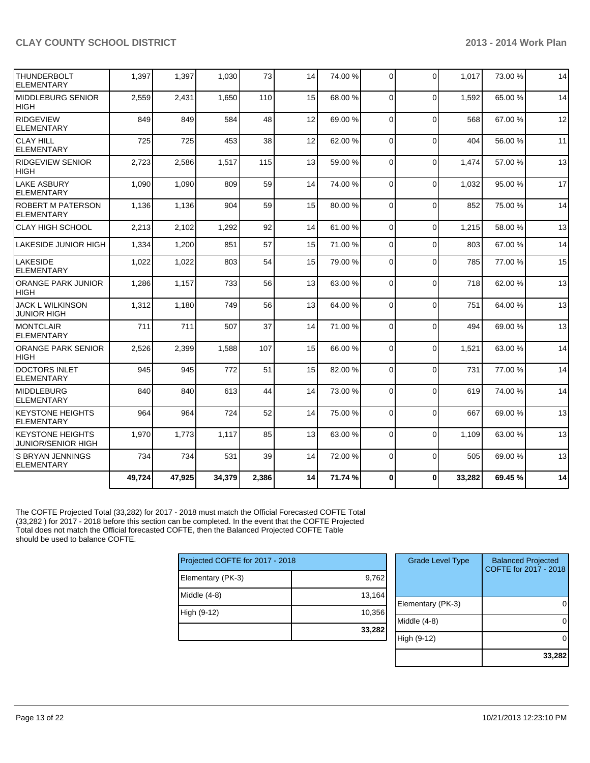| 49,724 | 47,925               | 34,379 |     | 14    | 71.74 % | 0        | $\bf{0}$    | 33,282                                                                                                                                                   | 69.45 % | 14 |
|--------|----------------------|--------|-----|-------|---------|----------|-------------|----------------------------------------------------------------------------------------------------------------------------------------------------------|---------|----|
| 734    | 734                  | 531    | 39  | 14    | 72.00 % | $\Omega$ | $\Omega$    | 505                                                                                                                                                      | 69.00 % | 13 |
| 1,970  | 1,773                | 1,117  | 85  | 13    | 63.00 % |          | $\Omega$    | 1.109                                                                                                                                                    | 63.00 % | 13 |
| 964    | 964                  | 724    | 52  | 14    | 75.00 % |          | $\Omega$    | 667                                                                                                                                                      | 69.00%  | 13 |
| 840    | 840                  | 613    | 44  | 14    |         |          | $\mathbf 0$ | 619                                                                                                                                                      | 74.00%  | 14 |
| 945    | 945                  | 772    | 51  | 15    | 82.00 % |          | $\mathbf 0$ | 731                                                                                                                                                      | 77.00 % | 14 |
| 2,526  | 2,399                | 1,588  | 107 | 15    | 66.00 % |          | $\mathbf 0$ | 1,521                                                                                                                                                    | 63.00 % | 14 |
| 711    | 711                  | 507    | 37  | 14    | 71.00 % | $\Omega$ | $\Omega$    | 494                                                                                                                                                      | 69.00 % | 13 |
| 1,312  | 1,180                | 749    | 56  | 13    | 64.00 % | 0        | $\Omega$    | 751                                                                                                                                                      | 64.00%  | 13 |
| 1,286  | 1,157                | 733    | 56  | 13    | 63.00 % |          | $\Omega$    | 718                                                                                                                                                      | 62.00%  | 13 |
| 1,022  | 1,022                | 803    | 54  | 15    | 79.00 % |          | $\Omega$    | 785                                                                                                                                                      | 77.00 % | 15 |
| 1,334  | 1,200                | 851    | 57  | 15    | 71.00 % |          | $\Omega$    | 803                                                                                                                                                      | 67.00 % | 14 |
| 2,213  | 2,102                | 1,292  | 92  | 14    | 61.00 % | $\Omega$ | $\mathbf 0$ | 1,215                                                                                                                                                    | 58.00 % | 13 |
| 1,136  | 1,136                | 904    | 59  | 15    | 80.00 % |          | $\Omega$    | 852                                                                                                                                                      | 75.00 % | 14 |
| 1,090  | 1,090                | 809    | 59  | 14    | 74.00 % |          | $\Omega$    | 1,032                                                                                                                                                    | 95.00 % | 17 |
| 2,723  | 2,586                | 1,517  | 115 | 13    | 59.00 % |          | $\Omega$    | 1,474                                                                                                                                                    | 57.00 % | 13 |
| 725    | 725                  | 453    | 38  | 12    | 62.00 % |          | $\Omega$    | 404                                                                                                                                                      | 56.00 % | 11 |
| 849    | 849                  | 584    | 48  | 12    | 69.00 % |          | $\Omega$    | 568                                                                                                                                                      | 67.00 % | 12 |
| 2,559  | 2,431                | 1,650  | 110 | 15    | 68.00 % | 0        | $\Omega$    | 1,592                                                                                                                                                    | 65.00 % | 14 |
| 1,397  | 1,397                | 1,030  | 73  | 14    | 74.00 % | $\Omega$ | $\Omega$    | 1.017                                                                                                                                                    | 73.00 % | 14 |
|        | LAKESIDE JUNIOR HIGH |        |     | 2,386 |         |          | 73.00 %     | $\Omega$<br>$\Omega$<br>$\Omega$<br>$\Omega$<br>$\Omega$<br>$\Omega$<br>$\Omega$<br>$\Omega$<br>$\Omega$<br>$\Omega$<br>$\Omega$<br>$\Omega$<br>$\Omega$ |         |    |

The COFTE Projected Total (33,282) for 2017 - 2018 must match the Official Forecasted COFTE Total (33,282 ) for 2017 - 2018 before this section can be completed. In the event that the COFTE Projected Total does not match the Official forecasted COFTE, then the Balanced Projected COFTE Table should be used to balance COFTE.

| Projected COFTE for 2017 - 2018 |        |  |  |  |  |  |
|---------------------------------|--------|--|--|--|--|--|
| Elementary (PK-3)               | 9,762  |  |  |  |  |  |
| Middle (4-8)                    | 13,164 |  |  |  |  |  |
| High (9-12)                     | 10,356 |  |  |  |  |  |
|                                 | 33,282 |  |  |  |  |  |

| <b>Grade Level Type</b> | <b>Balanced Projected</b><br>COFTE for 2017 - 2018 |
|-------------------------|----------------------------------------------------|
| Elementary (PK-3)       |                                                    |
| Middle $(4-8)$          |                                                    |
| High (9-12)             |                                                    |
|                         | 33,282                                             |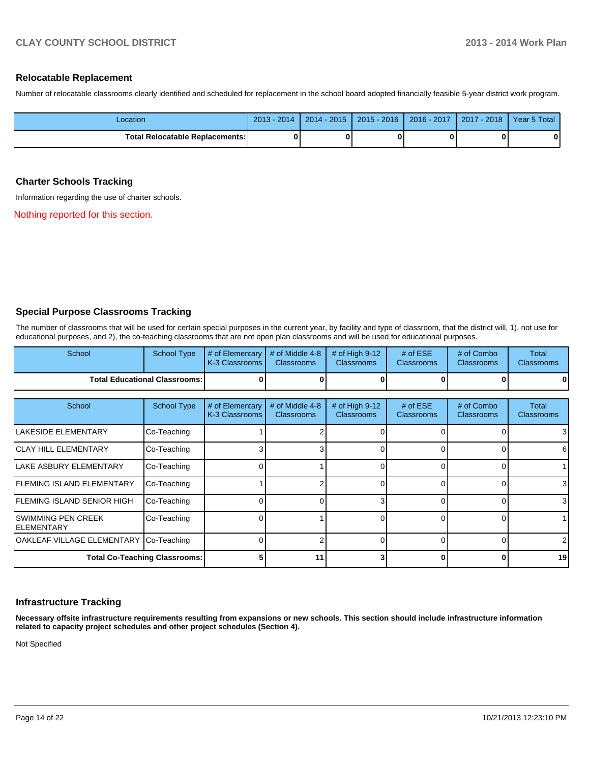#### **Relocatable Replacement**

Number of relocatable classrooms clearly identified and scheduled for replacement in the school board adopted financially feasible 5-year district work program.

| Location                               | $2013 - 2014$ | $2014 - 2015$ | $2015 - 2016$ | ┃ 2016 - 2017 ┃ 2017 - 2018 ┃ ` | Year 5 Total |
|----------------------------------------|---------------|---------------|---------------|---------------------------------|--------------|
| <b>Total Relocatable Replacements:</b> |               |               |               |                                 | Λ            |

#### **Charter Schools Tracking**

Information regarding the use of charter schools.

Nothing reported for this section.

#### **Special Purpose Classrooms Tracking**

The number of classrooms that will be used for certain special purposes in the current year, by facility and type of classroom, that the district will, 1), not use for educational purposes, and 2), the co-teaching classrooms that are not open plan classrooms and will be used for educational purposes.

| School                                   | <b>School Type</b>                   | # of Elementary<br>K-3 Classrooms | # of Middle 4-8<br><b>Classrooms</b> | # of High 9-12<br><b>Classrooms</b> | # of $ESE$<br><b>Classrooms</b> | # of Combo<br><b>Classrooms</b> | Total<br><b>Classrooms</b> |
|------------------------------------------|--------------------------------------|-----------------------------------|--------------------------------------|-------------------------------------|---------------------------------|---------------------------------|----------------------------|
|                                          | <b>Total Educational Classrooms:</b> |                                   |                                      |                                     |                                 | o                               | 0                          |
| School                                   | <b>School Type</b>                   | # of Elementary                   | # of Middle 4-8                      | # of High 9-12                      | # of $ESE$                      | # of Combo                      | Total                      |
|                                          |                                      | K-3 Classrooms                    | <b>Classrooms</b>                    | <b>Classrooms</b>                   | <b>Classrooms</b>               | <b>Classrooms</b>               | <b>Classrooms</b>          |
| <b>LAKESIDE ELEMENTARY</b>               | Co-Teaching                          |                                   |                                      |                                     |                                 |                                 | 3                          |
| <b>ICLAY HILL ELEMENTARY</b>             | Co-Teaching                          |                                   |                                      |                                     |                                 | <sup>0</sup>                    | 6                          |
| llake asbury elementary                  | Co-Teaching                          |                                   |                                      |                                     |                                 | 0                               |                            |
| <b>IFLEMING ISLAND ELEMENTARY</b>        | Co-Teaching                          |                                   |                                      |                                     |                                 | 0                               | 3                          |
| IFLEMING ISLAND SENIOR HIGH              | Co-Teaching                          |                                   |                                      |                                     |                                 | <sup>0</sup>                    | 3                          |
| <b>SWIMMING PEN CREEK</b><br>IELEMENTARY | Co-Teaching                          |                                   |                                      |                                     |                                 | <sup>0</sup>                    |                            |
| OAKLEAF VILLAGE ELEMENTARY Co-Teaching   |                                      |                                   |                                      | $\Omega$                            |                                 | $\Omega$                        | 2                          |
|                                          | <b>Total Co-Teaching Classrooms:</b> |                                   | 11                                   |                                     |                                 | 0                               | 19                         |

#### **Infrastructure Tracking**

**Necessary offsite infrastructure requirements resulting from expansions or new schools. This section should include infrastructure information related to capacity project schedules and other project schedules (Section 4).**

Not Specified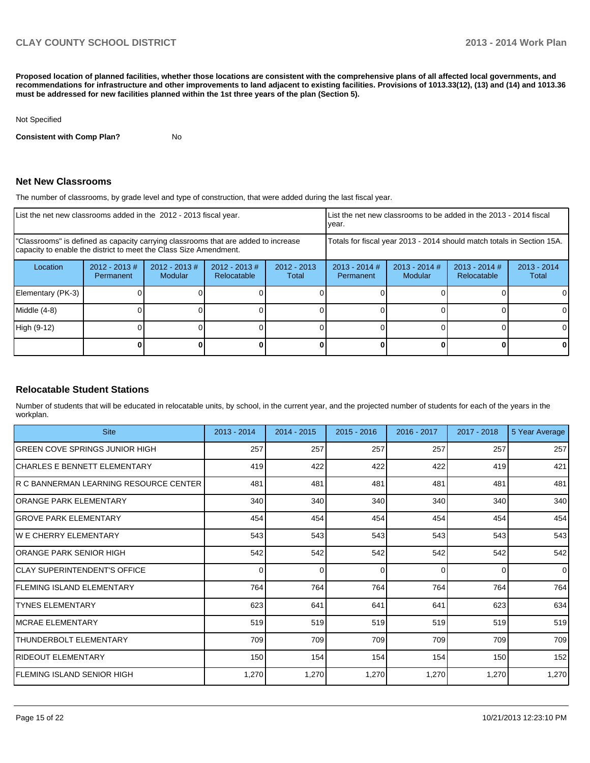**Proposed location of planned facilities, whether those locations are consistent with the comprehensive plans of all affected local governments, and recommendations for infrastructure and other improvements to land adjacent to existing facilities. Provisions of 1013.33(12), (13) and (14) and 1013.36 must be addressed for new facilities planned within the 1st three years of the plan (Section 5).**

#### Not Specified

**Consistent with Comp Plan?** No

#### **Net New Classrooms**

The number of classrooms, by grade level and type of construction, that were added during the last fiscal year.

| List the net new classrooms added in the 2012 - 2013 fiscal year.                                                                                       |                               |                                   |                                | Ivear.                 | List the net new classrooms to be added in the 2013 - 2014 fiscal      |                            |                                |                        |
|---------------------------------------------------------------------------------------------------------------------------------------------------------|-------------------------------|-----------------------------------|--------------------------------|------------------------|------------------------------------------------------------------------|----------------------------|--------------------------------|------------------------|
| "Classrooms" is defined as capacity carrying classrooms that are added to increase<br>capacity to enable the district to meet the Class Size Amendment. |                               |                                   |                                |                        | Totals for fiscal year 2013 - 2014 should match totals in Section 15A. |                            |                                |                        |
| Location                                                                                                                                                | $2012 - 2013 \#$<br>Permanent | $2012 - 2013$ #<br><b>Modular</b> | $2012 - 2013$ #<br>Relocatable | $2012 - 2013$<br>Total | $2013 - 2014$ #<br>Permanent                                           | $2013 - 2014$ #<br>Modular | $2013 - 2014$ #<br>Relocatable | $2013 - 2014$<br>Total |
| Elementary (PK-3)                                                                                                                                       |                               |                                   |                                |                        |                                                                        |                            |                                |                        |
| $Middle (4-8)$                                                                                                                                          |                               |                                   |                                |                        |                                                                        |                            |                                |                        |
| High (9-12)                                                                                                                                             |                               |                                   |                                |                        |                                                                        |                            |                                |                        |
|                                                                                                                                                         |                               |                                   |                                |                        |                                                                        |                            |                                |                        |

#### **Relocatable Student Stations**

Number of students that will be educated in relocatable units, by school, in the current year, and the projected number of students for each of the years in the workplan.

| <b>Site</b>                             | 2013 - 2014 | $2014 - 2015$ | $2015 - 2016$ | 2016 - 2017 | $2017 - 2018$ | 5 Year Average |
|-----------------------------------------|-------------|---------------|---------------|-------------|---------------|----------------|
| GREEN COVE SPRINGS JUNIOR HIGH          | 257         | 257           | 257           | 257         | 257           | 257            |
| ICHARLES E BENNETT ELEMENTARY           | 419         | 422           | 422           | 422         | 419           | 421            |
| IR C BANNERMAN LEARNING RESOURCE CENTER | 481         | 481           | 481           | 481         | 481           | 481            |
| lORANGE PARK ELEMENTARY                 | 340         | 340           | 340           | 340         | 340           | 340            |
| <b>GROVE PARK ELEMENTARY</b>            | 454         | 454           | 454           | 454         | 454           | 454            |
| IW E CHERRY ELEMENTARY                  | 543         | 543           | 543           | 543         | 543           | 543            |
| ORANGE PARK SENIOR HIGH                 | 542         | 542           | 542           | 542         | 542           | 542            |
| <b>CLAY SUPERINTENDENT'S OFFICE</b>     | $\Omega$    | $\Omega$      | 0             | $\Omega$    | $\Omega$      | $\overline{0}$ |
| FLEMING ISLAND ELEMENTARY               | 764         | 764           | 764           | 764         | 764           | 764            |
| <b>ITYNES ELEMENTARY</b>                | 623         | 641           | 641           | 641         | 623           | 634            |
| MCRAE ELEMENTARY                        | 519         | 519           | 519           | 519         | 519           | 519            |
| THUNDERBOLT ELEMENTARY                  | 709         | 709           | 709           | 709         | 709           | 709            |
| RIDEOUT ELEMENTARY                      | 150         | 154           | 154           | 154         | 150           | 152            |
| IFLEMING ISLAND SENIOR HIGH             | 1,270       | 1,270         | 1,270         | 1,270       | 1,270         | 1,270          |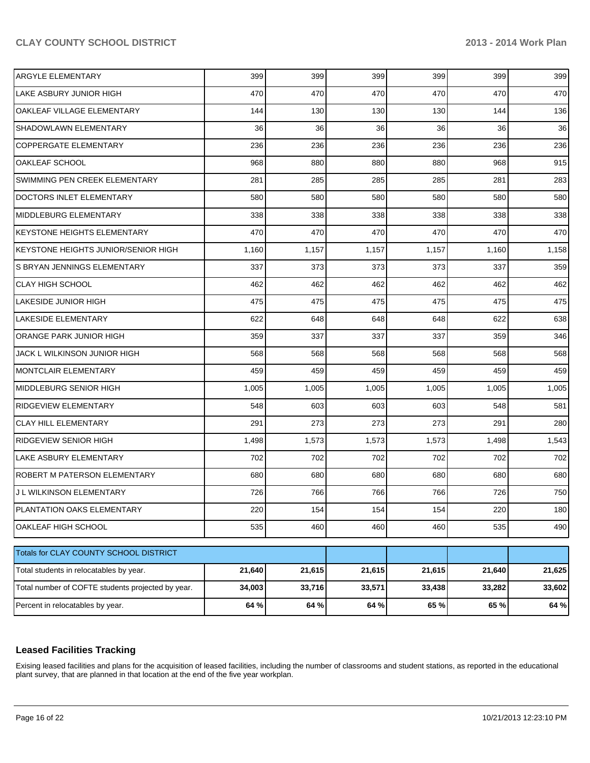| <b>ARGYLE ELEMENTARY</b>                          | 399    | 399    | 399    | 399    | 399    | 399    |
|---------------------------------------------------|--------|--------|--------|--------|--------|--------|
| LAKE ASBURY JUNIOR HIGH                           | 470    | 470    | 470    | 470    | 470    | 470    |
| OAKLEAF VILLAGE ELEMENTARY                        | 144    | 130    | 130    | 130    | 144    | 136    |
| SHADOWLAWN ELEMENTARY                             | 36     | 36     | 36     | 36     | 36     | 36     |
| <b>COPPERGATE ELEMENTARY</b>                      | 236    | 236    | 236    | 236    | 236    | 236    |
| OAKLEAF SCHOOL                                    | 968    | 880    | 880    | 880    | 968    | 915    |
| SWIMMING PEN CREEK ELEMENTARY                     | 281    | 285    | 285    | 285    | 281    | 283    |
| DOCTORS INLET ELEMENTARY                          | 580    | 580    | 580    | 580    | 580    | 580    |
| MIDDLEBURG ELEMENTARY                             | 338    | 338    | 338    | 338    | 338    | 338    |
| <b>KEYSTONE HEIGHTS ELEMENTARY</b>                | 470    | 470    | 470    | 470    | 470    | 470    |
| KEYSTONE HEIGHTS JUNIOR/SENIOR HIGH               | 1,160  | 1,157  | 1,157  | 1,157  | 1,160  | 1,158  |
| S BRYAN JENNINGS ELEMENTARY                       | 337    | 373    | 373    | 373    | 337    | 359    |
| <b>CLAY HIGH SCHOOL</b>                           | 462    | 462    | 462    | 462    | 462    | 462    |
| LAKESIDE JUNIOR HIGH                              | 475    | 475    | 475    | 475    | 475    | 475    |
| LAKESIDE ELEMENTARY                               | 622    | 648    | 648    | 648    | 622    | 638    |
| ORANGE PARK JUNIOR HIGH                           | 359    | 337    | 337    | 337    | 359    | 346    |
| JACK L WILKINSON JUNIOR HIGH                      | 568    | 568    | 568    | 568    | 568    | 568    |
| <b>MONTCLAIR ELEMENTARY</b>                       | 459    | 459    | 459    | 459    | 459    | 459    |
| MIDDLEBURG SENIOR HIGH                            | 1,005  | 1,005  | 1,005  | 1,005  | 1,005  | 1,005  |
| RIDGEVIEW ELEMENTARY                              | 548    | 603    | 603    | 603    | 548    | 581    |
| <b>CLAY HILL ELEMENTARY</b>                       | 291    | 273    | 273    | 273    | 291    | 280    |
| RIDGEVIEW SENIOR HIGH                             | 1,498  | 1,573  | 1,573  | 1,573  | 1,498  | 1,543  |
| LAKE ASBURY ELEMENTARY                            | 702    | 702    | 702    | 702    | 702    | 702    |
| ROBERT M PATERSON ELEMENTARY                      | 680    | 680    | 680    | 680    | 680    | 680    |
| <b>J L WILKINSON ELEMENTARY</b>                   | 726    | 766    | 766    | 766    | 726    | 750    |
| PLANTATION OAKS ELEMENTARY                        | 220    | 154    | 154    | 154    | 220    | 180    |
| OAKLEAF HIGH SCHOOL                               | 535    | 460    | 460    | 460    | 535    | 490    |
| Totals for CLAY COUNTY SCHOOL DISTRICT            |        |        |        |        |        |        |
|                                                   |        |        |        |        |        |        |
| Total students in relocatables by year.           | 21,640 | 21,615 | 21,615 | 21,615 | 21,640 | 21,625 |
| Total number of COFTE students projected by year. | 34,003 | 33,716 | 33,571 | 33,438 | 33,282 | 33,602 |
| Percent in relocatables by year.                  | 64 %   | 64 %   | 64 %   | 65 %   | 65 %   | 64 %   |

#### **Leased Facilities Tracking**

Exising leased facilities and plans for the acquisition of leased facilities, including the number of classrooms and student stations, as reported in the educational plant survey, that are planned in that location at the end of the five year workplan.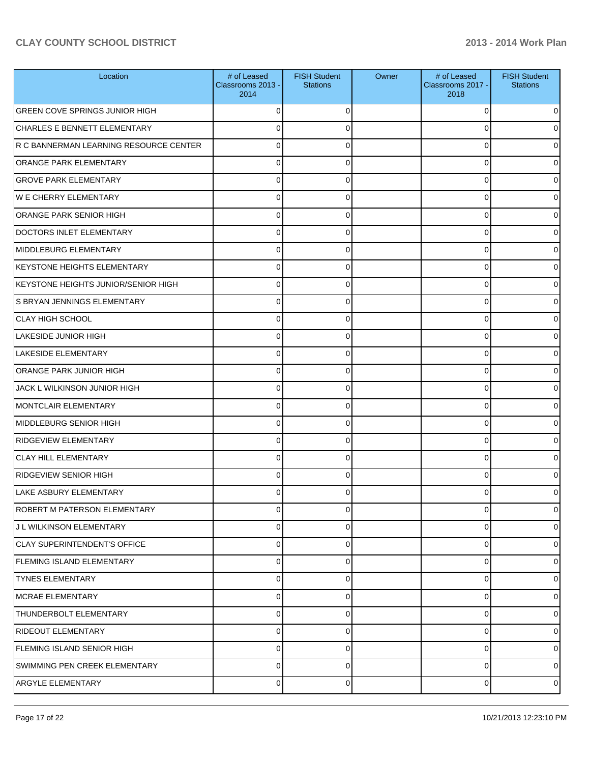| Location                               | # of Leased<br>Classrooms 2013 -<br>2014 | <b>FISH Student</b><br><b>Stations</b> | Owner | # of Leased<br>Classrooms 2017 -<br>2018 | <b>FISH Student</b><br><b>Stations</b> |
|----------------------------------------|------------------------------------------|----------------------------------------|-------|------------------------------------------|----------------------------------------|
| <b>GREEN COVE SPRINGS JUNIOR HIGH</b>  | $\Omega$                                 | 0                                      |       | 0                                        | 0                                      |
| CHARLES E BENNETT ELEMENTARY           | 0                                        | 0                                      |       | 0                                        | 0                                      |
| R C BANNERMAN LEARNING RESOURCE CENTER | $\Omega$                                 | 0                                      |       | 0                                        | o                                      |
| <b>ORANGE PARK ELEMENTARY</b>          | $\Omega$                                 | 0                                      |       | 0                                        | 0                                      |
| <b>GROVE PARK ELEMENTARY</b>           | $\Omega$                                 | 0                                      |       | 0                                        | o                                      |
| <b>WE CHERRY ELEMENTARY</b>            | $\Omega$                                 | 0                                      |       | 0                                        | 0                                      |
| ORANGE PARK SENIOR HIGH                | $\Omega$                                 | 0                                      |       | 0                                        | o                                      |
| DOCTORS INLET ELEMENTARY               | $\Omega$                                 | 0                                      |       | 0                                        | 0                                      |
| MIDDLEBURG ELEMENTARY                  | 0                                        | O                                      |       | 0                                        | o                                      |
| <b>KEYSTONE HEIGHTS ELEMENTARY</b>     | 0                                        | 0                                      |       | 0                                        | 0                                      |
| KEYSTONE HEIGHTS JUNIOR/SENIOR HIGH    | 0                                        | 0                                      |       | 0                                        | 0                                      |
| IS BRYAN JENNINGS ELEMENTARY           | 0                                        | 0                                      |       | 0                                        | 0                                      |
| CLAY HIGH SCHOOL                       | 0                                        | 0                                      |       | 0                                        | o                                      |
| LAKESIDE JUNIOR HIGH                   | 0                                        | 0                                      |       | 0                                        | 0                                      |
| LAKESIDE ELEMENTARY                    | $\Omega$                                 | 0                                      |       | 0                                        |                                        |
| <b>ORANGE PARK JUNIOR HIGH</b>         | 0                                        | 0                                      |       | 0                                        | o                                      |
| JACK L WILKINSON JUNIOR HIGH           | 0                                        | O                                      |       | 0                                        | o                                      |
| MONTCLAIR ELEMENTARY                   | 0                                        | 0                                      |       | 0                                        | 0                                      |
| MIDDLEBURG SENIOR HIGH                 | 0                                        | U                                      |       | 0                                        | o                                      |
| <b>RIDGEVIEW ELEMENTARY</b>            | 0                                        | 0                                      |       | 0                                        | 0                                      |
| <b>CLAY HILL ELEMENTARY</b>            | 0                                        | 0                                      |       | 0                                        | o                                      |
| RIDGEVIEW SENIOR HIGH                  | 0                                        | 0                                      |       | 0                                        | 0                                      |
| LAKE ASBURY ELEMENTARY                 |                                          |                                        |       |                                          | 0                                      |
| ROBERT M PATERSON ELEMENTARY           | 0                                        | 0                                      |       | 0                                        | $\overline{0}$                         |
| IJ L WILKINSON ELEMENTARY              | 0                                        | 0                                      |       | 0                                        | $\overline{0}$                         |
| <b>CLAY SUPERINTENDENT'S OFFICE</b>    | 0                                        | 0                                      |       | 0                                        | 0                                      |
| FLEMING ISLAND ELEMENTARY              | 0                                        | 0                                      |       | 0                                        | $\overline{0}$                         |
| <b>TYNES ELEMENTARY</b>                | 0                                        | 0                                      |       | 0                                        | 0                                      |
| MCRAE ELEMENTARY                       | 0                                        | 0                                      |       | 0                                        | $\overline{0}$                         |
| THUNDERBOLT ELEMENTARY                 | 0                                        | 0                                      |       | 0                                        | $\overline{0}$                         |
| RIDEOUT ELEMENTARY                     | 0                                        | 0                                      |       | 0                                        | $\overline{0}$                         |
| FLEMING ISLAND SENIOR HIGH             | 0                                        | 0                                      |       | 0                                        | $\overline{0}$                         |
| SWIMMING PEN CREEK ELEMENTARY          | 0                                        | 0                                      |       | 0                                        | $\overline{0}$                         |
| <b>ARGYLE ELEMENTARY</b>               | 0                                        | 0                                      |       | 0                                        | $\overline{0}$                         |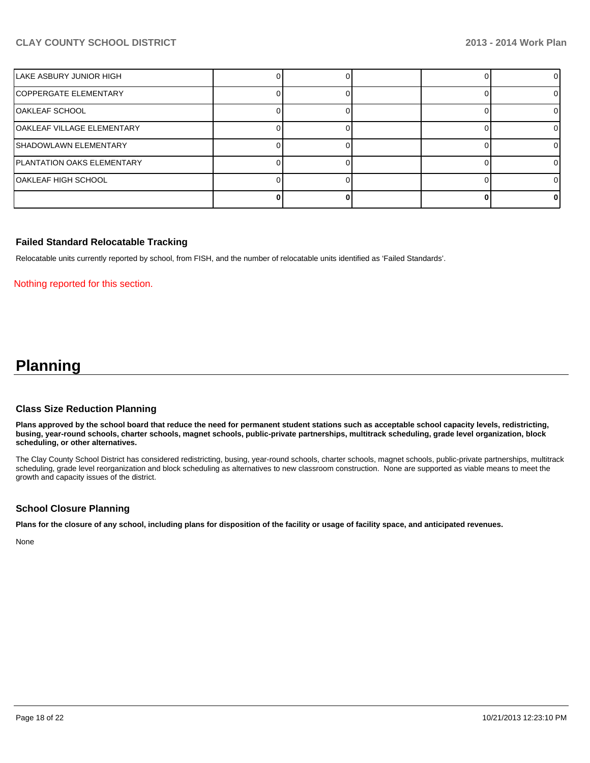| LAKE ASBURY JUNIOR HIGH    |  |  |  |
|----------------------------|--|--|--|
| COPPERGATE ELEMENTARY      |  |  |  |
| OAKLEAF SCHOOL             |  |  |  |
| OAKLEAF VILLAGE ELEMENTARY |  |  |  |
| ISHADOWLAWN ELEMENTARY     |  |  |  |
| PLANTATION OAKS ELEMENTARY |  |  |  |
| OAKLEAF HIGH SCHOOL        |  |  |  |
|                            |  |  |  |

#### **Failed Standard Relocatable Tracking**

Relocatable units currently reported by school, from FISH, and the number of relocatable units identified as 'Failed Standards'.

#### Nothing reported for this section.

# **Planning**

#### **Class Size Reduction Planning**

**Plans approved by the school board that reduce the need for permanent student stations such as acceptable school capacity levels, redistricting, busing, year-round schools, charter schools, magnet schools, public-private partnerships, multitrack scheduling, grade level organization, block scheduling, or other alternatives.**

The Clay County School District has considered redistricting, busing, year-round schools, charter schools, magnet schools, public-private partnerships, multitrack scheduling, grade level reorganization and block scheduling as alternatives to new classroom construction. None are supported as viable means to meet the growth and capacity issues of the district.

#### **School Closure Planning**

**Plans for the closure of any school, including plans for disposition of the facility or usage of facility space, and anticipated revenues.**

None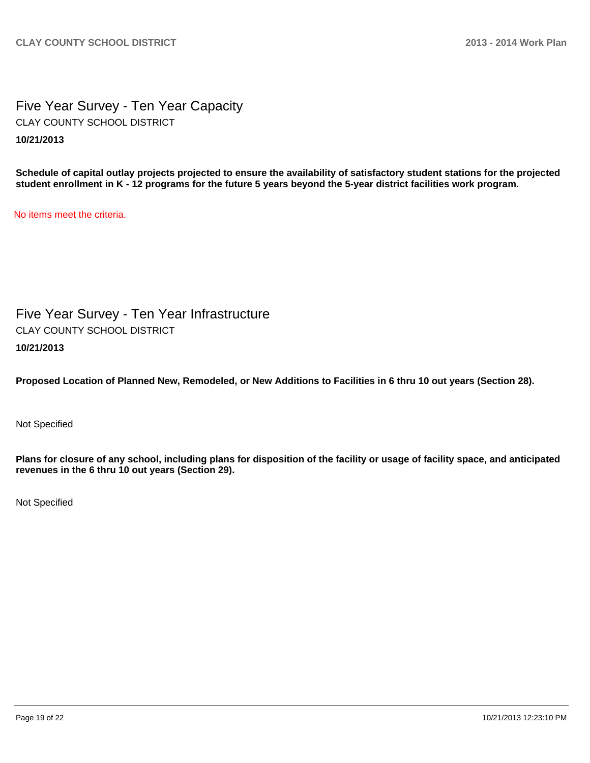Five Year Survey - Ten Year Capacity **10/21/2013** CLAY COUNTY SCHOOL DISTRICT

**Schedule of capital outlay projects projected to ensure the availability of satisfactory student stations for the projected student enrollment in K - 12 programs for the future 5 years beyond the 5-year district facilities work program.**

No items meet the criteria.

Five Year Survey - Ten Year Infrastructure **10/21/2013** CLAY COUNTY SCHOOL DISTRICT

**Proposed Location of Planned New, Remodeled, or New Additions to Facilities in 6 thru 10 out years (Section 28).**

Not Specified

**Plans for closure of any school, including plans for disposition of the facility or usage of facility space, and anticipated revenues in the 6 thru 10 out years (Section 29).**

Not Specified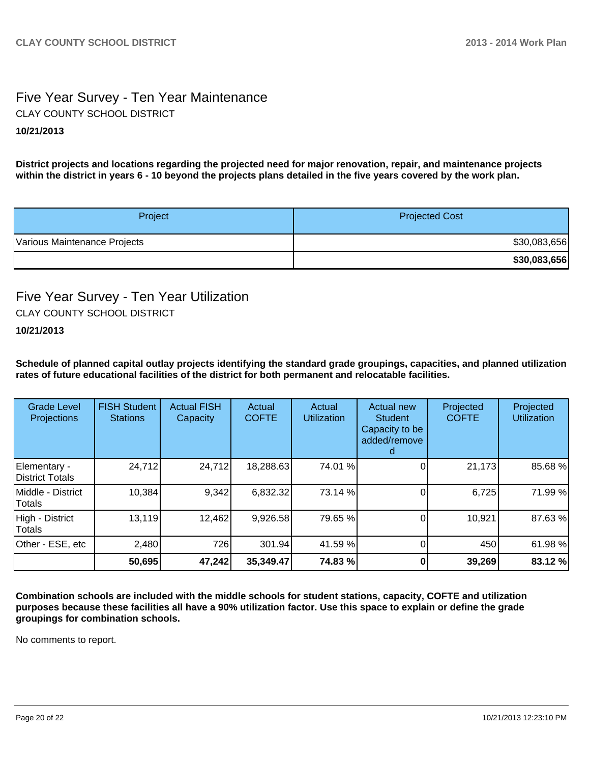### Five Year Survey - Ten Year Maintenance **10/21/2013** CLAY COUNTY SCHOOL DISTRICT

**District projects and locations regarding the projected need for major renovation, repair, and maintenance projects within the district in years 6 - 10 beyond the projects plans detailed in the five years covered by the work plan.**

| Project                      | <b>Projected Cost</b> |
|------------------------------|-----------------------|
| Various Maintenance Projects | \$30,083,656          |
|                              | \$30,083,656          |

### Five Year Survey - Ten Year Utilization CLAY COUNTY SCHOOL DISTRICT

#### **10/21/2013**

**Schedule of planned capital outlay projects identifying the standard grade groupings, capacities, and planned utilization rates of future educational facilities of the district for both permanent and relocatable facilities.**

| <b>Grade Level</b><br><b>Projections</b> | <b>FISH Student</b><br><b>Stations</b> | <b>Actual FISH</b><br>Capacity | Actual<br><b>COFTE</b> | Actual<br><b>Utilization</b> | Actual new<br><b>Student</b><br>Capacity to be<br>added/remove | Projected<br><b>COFTE</b> | Projected<br><b>Utilization</b> |
|------------------------------------------|----------------------------------------|--------------------------------|------------------------|------------------------------|----------------------------------------------------------------|---------------------------|---------------------------------|
| Elementary -<br>District Totals          | 24,712                                 | 24,712                         | 18,288.63              | 74.01 %                      |                                                                | 21,173                    | 85.68%                          |
| Middle - District<br>Totals              | 10,384                                 | 9,342                          | 6,832.32               | 73.14 %                      |                                                                | 6,725                     | 71.99%                          |
| High - District<br>Totals                | 13,119                                 | 12,462                         | 9,926.58               | 79.65 %                      |                                                                | 10,921                    | 87.63%                          |
| Other - ESE, etc                         | 2,480                                  | 726                            | 301.94                 | 41.59 %                      |                                                                | 450                       | 61.98%                          |
|                                          | 50,695                                 | 47,242                         | 35,349.47              | 74.83 %                      |                                                                | 39,269                    | 83.12%                          |

**Combination schools are included with the middle schools for student stations, capacity, COFTE and utilization purposes because these facilities all have a 90% utilization factor. Use this space to explain or define the grade groupings for combination schools.**

No comments to report.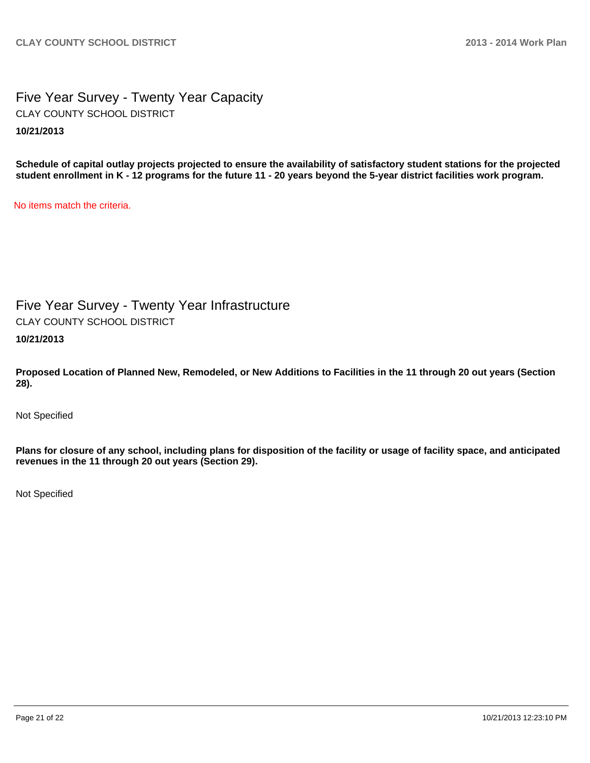Five Year Survey - Twenty Year Capacity **10/21/2013** CLAY COUNTY SCHOOL DISTRICT

**Schedule of capital outlay projects projected to ensure the availability of satisfactory student stations for the projected student enrollment in K - 12 programs for the future 11 - 20 years beyond the 5-year district facilities work program.**

No items match the criteria.

Five Year Survey - Twenty Year Infrastructure CLAY COUNTY SCHOOL DISTRICT

**10/21/2013**

**Proposed Location of Planned New, Remodeled, or New Additions to Facilities in the 11 through 20 out years (Section 28).**

Not Specified

**Plans for closure of any school, including plans for disposition of the facility or usage of facility space, and anticipated revenues in the 11 through 20 out years (Section 29).**

Not Specified